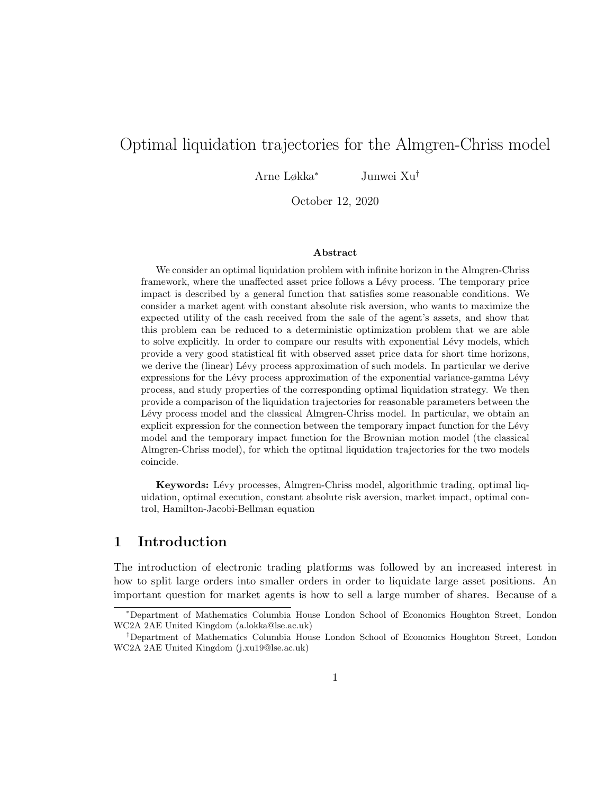# Optimal liquidation trajectories for the Almgren-Chriss model

Arne Løkka<sup>∗</sup> Junwei Xu†

October 12, 2020

#### Abstract

We consider an optimal liquidation problem with infinite horizon in the Almgren-Chriss framework, where the unaffected asset price follows a Lévy process. The temporary price impact is described by a general function that satisfies some reasonable conditions. We consider a market agent with constant absolute risk aversion, who wants to maximize the expected utility of the cash received from the sale of the agent's assets, and show that this problem can be reduced to a deterministic optimization problem that we are able to solve explicitly. In order to compare our results with exponential Lévy models, which provide a very good statistical fit with observed asset price data for short time horizons, we derive the (linear) Lévy process approximation of such models. In particular we derive expressions for the Lévy process approximation of the exponential variance-gamma Lévy process, and study properties of the corresponding optimal liquidation strategy. We then provide a comparison of the liquidation trajectories for reasonable parameters between the Lévy process model and the classical Almgren-Chriss model. In particular, we obtain an explicit expression for the connection between the temporary impact function for the Lévy model and the temporary impact function for the Brownian motion model (the classical Almgren-Chriss model), for which the optimal liquidation trajectories for the two models coincide.

Keywords: Lévy processes, Almgren-Chriss model, algorithmic trading, optimal liquidation, optimal execution, constant absolute risk aversion, market impact, optimal control, Hamilton-Jacobi-Bellman equation

# 1 Introduction

The introduction of electronic trading platforms was followed by an increased interest in how to split large orders into smaller orders in order to liquidate large asset positions. An important question for market agents is how to sell a large number of shares. Because of a

<sup>∗</sup>Department of Mathematics Columbia House London School of Economics Houghton Street, London WC2A 2AE United Kingdom (a.lokka@lse.ac.uk)

<sup>†</sup>Department of Mathematics Columbia House London School of Economics Houghton Street, London WC2A 2AE United Kingdom (j.xu19@lse.ac.uk)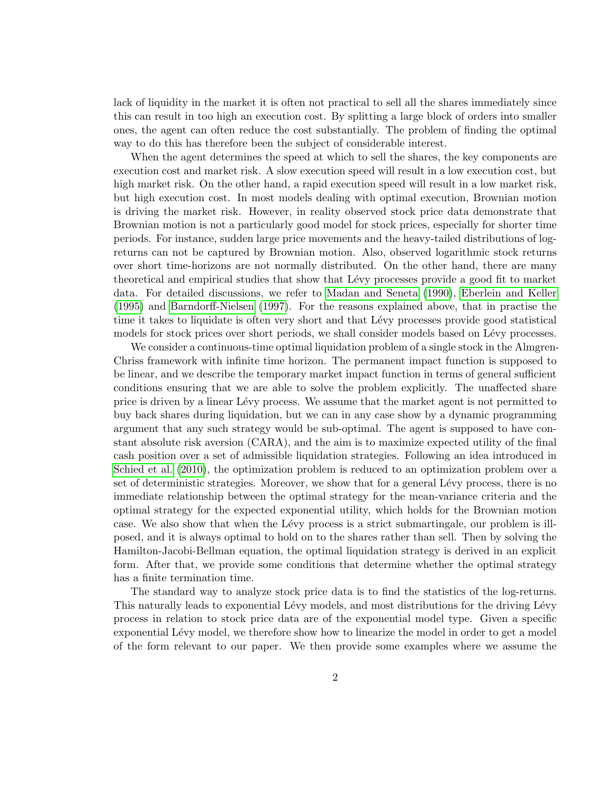lack of liquidity in the market it is often not practical to sell all the shares immediately since this can result in too high an execution cost. By splitting a large block of orders into smaller ones, the agent can often reduce the cost substantially. The problem of finding the optimal way to do this has therefore been the subject of considerable interest.

When the agent determines the speed at which to sell the shares, the key components are execution cost and market risk. A slow execution speed will result in a low execution cost, but high market risk. On the other hand, a rapid execution speed will result in a low market risk, but high execution cost. In most models dealing with optimal execution, Brownian motion is driving the market risk. However, in reality observed stock price data demonstrate that Brownian motion is not a particularly good model for stock prices, especially for shorter time periods. For instance, sudden large price movements and the heavy-tailed distributions of logreturns can not be captured by Brownian motion. Also, observed logarithmic stock returns over short time-horizons are not normally distributed. On the other hand, there are many theoretical and empirical studies that show that Lévy processes provide a good fit to market data. For detailed discussions, we refer to [Madan and Seneta \(1990\)](#page-35-0), [Eberlein and Keller](#page-34-0) [\(1995\)](#page-34-0) and [Barndorff-Nielsen \(1997\)](#page-34-1). For the reasons explained above, that in practise the time it takes to liquidate is often very short and that Lévy processes provide good statistical models for stock prices over short periods, we shall consider models based on Lévy processes.

We consider a continuous-time optimal liquidation problem of a single stock in the Almgren-Chriss framework with infinite time horizon. The permanent impact function is supposed to be linear, and we describe the temporary market impact function in terms of general sufficient conditions ensuring that we are able to solve the problem explicitly. The unaffected share price is driven by a linear Lévy process. We assume that the market agent is not permitted to buy back shares during liquidation, but we can in any case show by a dynamic programming argument that any such strategy would be sub-optimal. The agent is supposed to have constant absolute risk aversion (CARA), and the aim is to maximize expected utility of the final cash position over a set of admissible liquidation strategies. Following an idea introduced in [Schied et al. \(2010\)](#page-36-0), the optimization problem is reduced to an optimization problem over a set of deterministic strategies. Moreover, we show that for a general Lévy process, there is no immediate relationship between the optimal strategy for the mean-variance criteria and the optimal strategy for the expected exponential utility, which holds for the Brownian motion case. We also show that when the Lévy process is a strict submartingale, our problem is illposed, and it is always optimal to hold on to the shares rather than sell. Then by solving the Hamilton-Jacobi-Bellman equation, the optimal liquidation strategy is derived in an explicit form. After that, we provide some conditions that determine whether the optimal strategy has a finite termination time.

The standard way to analyze stock price data is to find the statistics of the log-returns. This naturally leads to exponential Lévy models, and most distributions for the driving Lévy process in relation to stock price data are of the exponential model type. Given a specific exponential Lévy model, we therefore show how to linearize the model in order to get a model of the form relevant to our paper. We then provide some examples where we assume the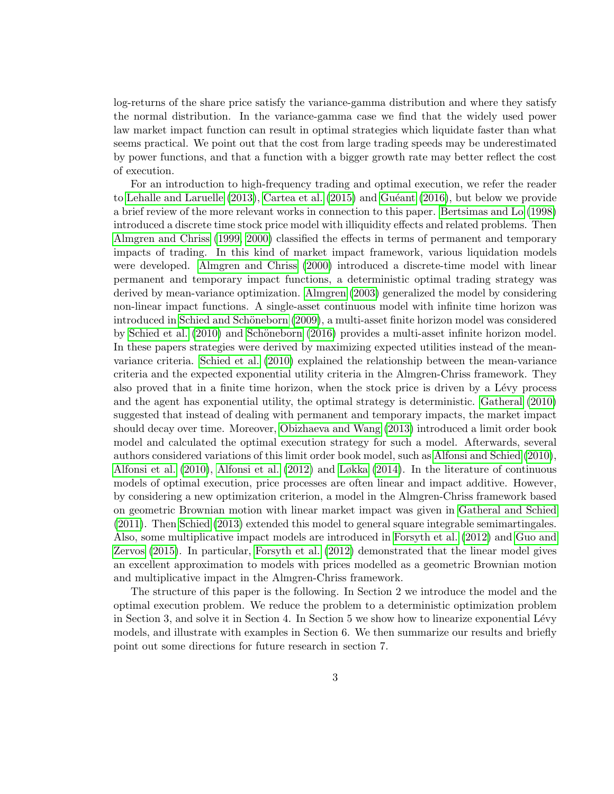log-returns of the share price satisfy the variance-gamma distribution and where they satisfy the normal distribution. In the variance-gamma case we find that the widely used power law market impact function can result in optimal strategies which liquidate faster than what seems practical. We point out that the cost from large trading speeds may be underestimated by power functions, and that a function with a bigger growth rate may better reflect the cost of execution.

For an introduction to high-frequency trading and optimal execution, we refer the reader to Lehalle and Laruelle  $(2013)$ , Cartea et al.  $(2015)$  and Guéant  $(2016)$ , but below we provide a brief review of the more relevant works in connection to this paper. [Bertsimas and Lo \(1998\)](#page-34-3) introduced a discrete time stock price model with illiquidity effects and related problems. Then [Almgren and Chriss \(1999,](#page-34-4) [2000\)](#page-34-5) classified the effects in terms of permanent and temporary impacts of trading. In this kind of market impact framework, various liquidation models were developed. [Almgren and Chriss \(2000\)](#page-34-5) introduced a discrete-time model with linear permanent and temporary impact functions, a deterministic optimal trading strategy was derived by mean-variance optimization. [Almgren \(2003\)](#page-34-6) generalized the model by considering non-linear impact functions. A single-asset continuous model with infinite time horizon was introduced in Schied and Schöneborn (2009), a multi-asset finite horizon model was considered by [Schied et al. \(2010\)](#page-36-0) and Schöneborn (2016) provides a multi-asset infinite horizon model. In these papers strategies were derived by maximizing expected utilities instead of the meanvariance criteria. [Schied et al. \(2010\)](#page-36-0) explained the relationship between the mean-variance criteria and the expected exponential utility criteria in the Almgren-Chriss framework. They also proved that in a finite time horizon, when the stock price is driven by a Lévy process and the agent has exponential utility, the optimal strategy is deterministic. [Gatheral \(2010\)](#page-35-3) suggested that instead of dealing with permanent and temporary impacts, the market impact should decay over time. Moreover, [Obizhaeva and Wang \(2013\)](#page-35-4) introduced a limit order book model and calculated the optimal execution strategy for such a model. Afterwards, several authors considered variations of this limit order book model, such as [Alfonsi and Schied \(2010\)](#page-34-7), [Alfonsi et al. \(2010\)](#page-34-8), [Alfonsi et al. \(2012\)](#page-34-9) and [Løkka \(2014\)](#page-35-5). In the literature of continuous models of optimal execution, price processes are often linear and impact additive. However, by considering a new optimization criterion, a model in the Almgren-Chriss framework based on geometric Brownian motion with linear market impact was given in [Gatheral and Schied](#page-35-6) [\(2011\)](#page-35-6). Then [Schied \(2013\)](#page-36-3) extended this model to general square integrable semimartingales. Also, some multiplicative impact models are introduced in [Forsyth et al. \(2012\)](#page-35-7) and [Guo and](#page-35-8) [Zervos \(2015\)](#page-35-8). In particular, [Forsyth et al. \(2012\)](#page-35-7) demonstrated that the linear model gives an excellent approximation to models with prices modelled as a geometric Brownian motion and multiplicative impact in the Almgren-Chriss framework.

The structure of this paper is the following. In Section 2 we introduce the model and the optimal execution problem. We reduce the problem to a deterministic optimization problem in Section 3, and solve it in Section 4. In Section 5 we show how to linearize exponential  $Lévy$ models, and illustrate with examples in Section 6. We then summarize our results and briefly point out some directions for future research in section 7.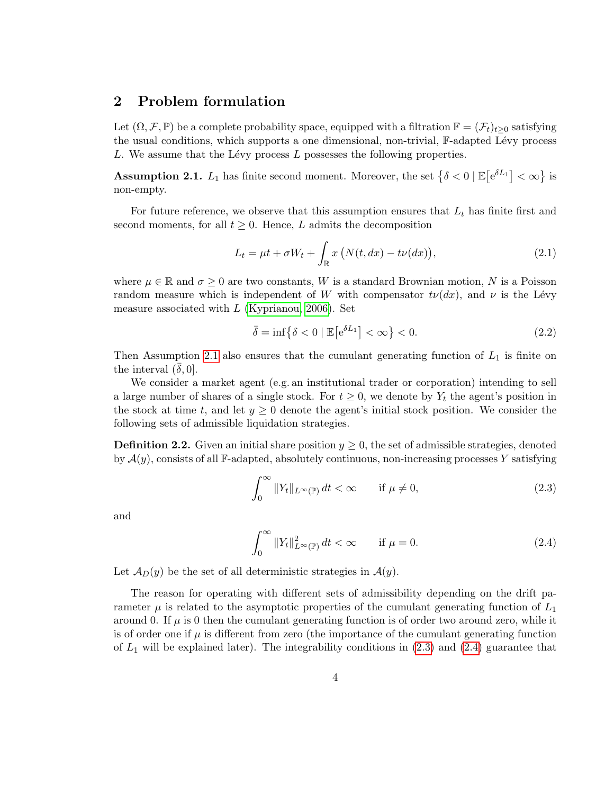# 2 Problem formulation

Let  $(\Omega, \mathcal{F}, \mathbb{P})$  be a complete probability space, equipped with a filtration  $\mathbb{F} = (\mathcal{F}_t)_{t>0}$  satisfying the usual conditions, which supports a one dimensional, non-trivial,  $\mathbb{F}\text{-adapted Lévy process}$ L. We assume that the Lévy process  $L$  possesses the following properties.

<span id="page-3-0"></span>**Assumption 2.1.**  $L_1$  has finite second moment. Moreover, the set  $\{\delta < 0 \mid \mathbb{E}\left[e^{\delta L_1}\right] < \infty\}$  is non-empty.

For future reference, we observe that this assumption ensures that  $L_t$  has finite first and second moments, for all  $t \geq 0$ . Hence, L admits the decomposition

$$
L_t = \mu t + \sigma W_t + \int_{\mathbb{R}} x \left( N(t, dx) - t\nu(dx) \right), \tag{2.1}
$$

where  $\mu \in \mathbb{R}$  and  $\sigma \geq 0$  are two constants, W is a standard Brownian motion, N is a Poisson random measure which is independent of W with compensator  $t\nu(dx)$ , and  $\nu$  is the Lévy measure associated with  $L$  [\(Kyprianou, 2006\)](#page-35-9). Set

<span id="page-3-3"></span>
$$
\bar{\delta} = \inf \left\{ \delta < 0 \mid \mathbb{E} \left[ e^{\delta L_1} \right] < \infty \right\} < 0. \tag{2.2}
$$

Then Assumption [2.1](#page-3-0) also ensures that the cumulant generating function of  $L_1$  is finite on the interval  $(\delta, 0]$ .

We consider a market agent (e.g. an institutional trader or corporation) intending to sell a large number of shares of a single stock. For  $t \geq 0$ , we denote by  $Y_t$  the agent's position in the stock at time t, and let  $y \geq 0$  denote the agent's initial stock position. We consider the following sets of admissible liquidation strategies.

<span id="page-3-4"></span>**Definition 2.2.** Given an initial share position  $y \geq 0$ , the set of admissible strategies, denoted by  $\mathcal{A}(y)$ , consists of all F-adapted, absolutely continuous, non-increasing processes Y satisfying

<span id="page-3-1"></span>
$$
\int_0^\infty \|Y_t\|_{L^\infty(\mathbb{P})} dt < \infty \qquad \text{if } \mu \neq 0,\tag{2.3}
$$

and

<span id="page-3-2"></span>
$$
\int_0^\infty \|Y_t\|_{L^\infty(\mathbb{P})}^2 dt < \infty \qquad \text{if } \mu = 0. \tag{2.4}
$$

Let  $\mathcal{A}_D(y)$  be the set of all deterministic strategies in  $\mathcal{A}(y)$ .

The reason for operating with different sets of admissibility depending on the drift parameter  $\mu$  is related to the asymptotic properties of the cumulant generating function of  $L_1$ around 0. If  $\mu$  is 0 then the cumulant generating function is of order two around zero, while it is of order one if  $\mu$  is different from zero (the importance of the cumulant generating function of  $L_1$  will be explained later). The integrability conditions in  $(2.3)$  and  $(2.4)$  guarantee that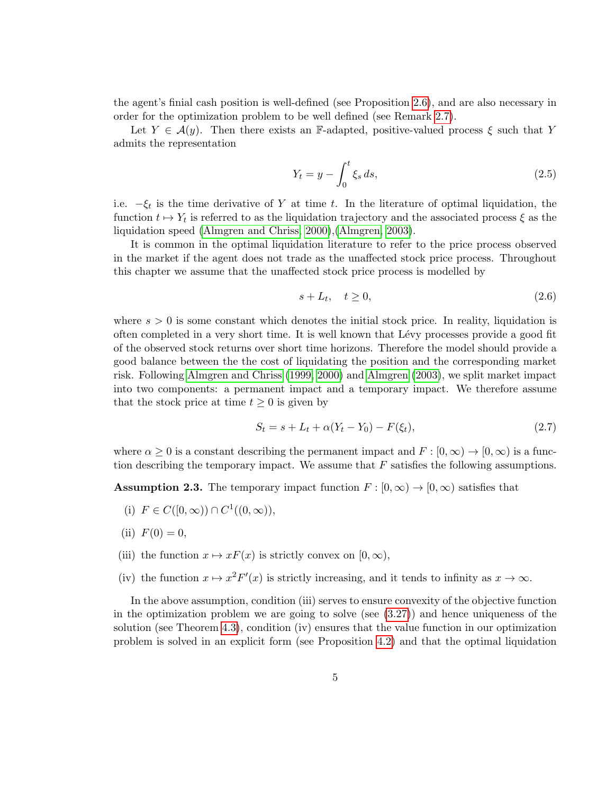the agent's finial cash position is well-defined (see Proposition [2.6\)](#page-6-0), and are also necessary in order for the optimization problem to be well defined (see Remark [2.7\)](#page-9-0).

Let  $Y \in \mathcal{A}(y)$ . Then there exists an F-adapted, positive-valued process  $\xi$  such that Y admits the representation

$$
Y_t = y - \int_0^t \xi_s ds,
$$
\n(2.5)

i.e.  $-\xi_t$  is the time derivative of Y at time t. In the literature of optimal liquidation, the function  $t \mapsto Y_t$  is referred to as the liquidation trajectory and the associated process  $\xi$  as the liquidation speed [\(Almgren and Chriss, 2000\)](#page-34-5),[\(Almgren, 2003\)](#page-34-6).

It is common in the optimal liquidation literature to refer to the price process observed in the market if the agent does not trade as the unaffected stock price process. Throughout this chapter we assume that the unaffected stock price process is modelled by

$$
s + L_t, \quad t \ge 0,\tag{2.6}
$$

where  $s > 0$  is some constant which denotes the initial stock price. In reality, liquidation is often completed in a very short time. It is well known that L´evy processes provide a good fit of the observed stock returns over short time horizons. Therefore the model should provide a good balance between the the cost of liquidating the position and the corresponding market risk. Following [Almgren and Chriss \(1999,](#page-34-4) [2000\)](#page-34-5) and [Almgren \(2003\)](#page-34-6), we split market impact into two components: a permanent impact and a temporary impact. We therefore assume that the stock price at time  $t \geq 0$  is given by

$$
S_t = s + L_t + \alpha (Y_t - Y_0) - F(\xi_t), \qquad (2.7)
$$

where  $\alpha \geq 0$  is a constant describing the permanent impact and  $F : [0, \infty) \to [0, \infty)$  is a function describing the temporary impact. We assume that  $F$  satisfies the following assumptions.

<span id="page-4-0"></span>**Assumption 2.3.** The temporary impact function  $F : [0, \infty) \to [0, \infty)$  satisfies that

- (i)  $F \in C([0,\infty)) \cap C^1((0,\infty)),$
- (ii)  $F(0) = 0$ ,
- (iii) the function  $x \mapsto xF(x)$  is strictly convex on  $[0, \infty)$ ,
- (iv) the function  $x \mapsto x^2 F'(x)$  is strictly increasing, and it tends to infinity as  $x \to \infty$ .

In the above assumption, condition (iii) serves to ensure convexity of the objective function in the optimization problem we are going to solve (see  $(3.27)$ ) and hence uniqueness of the solution (see Theorem [4.3\)](#page-18-0), condition (iv) ensures that the value function in our optimization problem is solved in an explicit form (see Proposition [4.2\)](#page-18-1) and that the optimal liquidation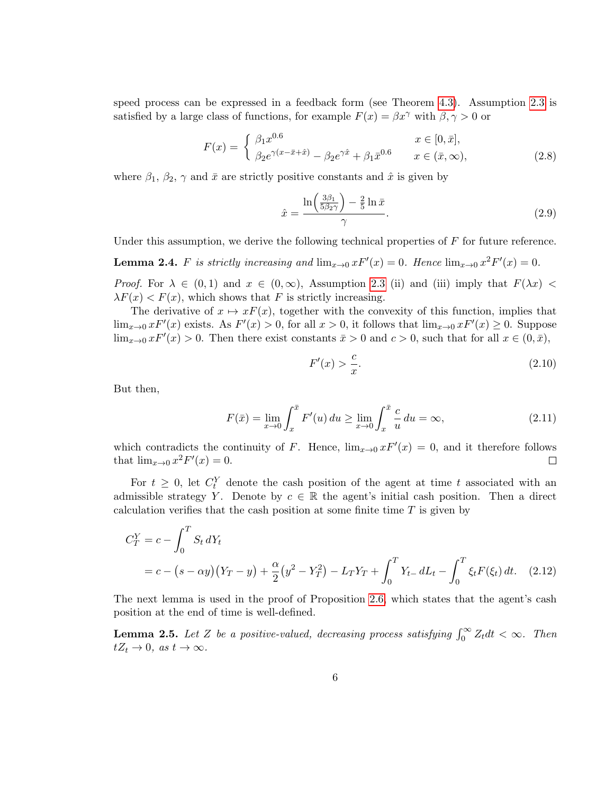speed process can be expressed in a feedback form (see Theorem [4.3\)](#page-18-0). Assumption [2.3](#page-4-0) is satisfied by a large class of functions, for example  $F(x) = \beta x^{\gamma}$  with  $\beta, \gamma > 0$  or

$$
F(x) = \begin{cases} \beta_1 x^{0.6} & x \in [0, \bar{x}], \\ \beta_2 e^{\gamma(x - \bar{x} + \hat{x})} - \beta_2 e^{\gamma \hat{x}} + \beta_1 \bar{x}^{0.6} & x \in (\bar{x}, \infty), \end{cases}
$$
(2.8)

where  $\beta_1$ ,  $\beta_2$ ,  $\gamma$  and  $\bar{x}$  are strictly positive constants and  $\hat{x}$  is given by

$$
\hat{x} = \frac{\ln\left(\frac{3\beta_1}{5\beta_2\gamma}\right) - \frac{2}{5}\ln\bar{x}}{\gamma}.
$$
\n(2.9)

Under this assumption, we derive the following technical properties of  $F$  for future reference.

<span id="page-5-1"></span>**Lemma 2.4.** F is strictly increasing and  $\lim_{x\to 0} xF'(x) = 0$ . Hence  $\lim_{x\to 0} x^2F'(x) = 0$ .

*Proof.* For  $\lambda \in (0,1)$  and  $x \in (0,\infty)$ , Assumption [2.3](#page-4-0) (ii) and (iii) imply that  $F(\lambda x)$  $\lambda F(x) < F(x)$ , which shows that F is strictly increasing.

The derivative of  $x \mapsto xF(x)$ , together with the convexity of this function, implies that  $\lim_{x\to 0} x F'(x)$  exists. As  $F'(x) > 0$ , for all  $x > 0$ , it follows that  $\lim_{x\to 0} x F'(x) \ge 0$ . Suppose  $\lim_{x\to 0} x F'(x) > 0$ . Then there exist constants  $\bar{x} > 0$  and  $c > 0$ , such that for all  $x \in (0, \bar{x})$ ,

$$
F'(x) > \frac{c}{x}.\tag{2.10}
$$

But then,

$$
F(\bar{x}) = \lim_{x \to 0} \int_{x}^{\bar{x}} F'(u) du \ge \lim_{x \to 0} \int_{x}^{\bar{x}} \frac{c}{u} du = \infty,
$$
\n(2.11)

which contradicts the continuity of F. Hence,  $\lim_{x\to 0} xF'(x) = 0$ , and it therefore follows that  $\lim_{x\to 0} x^2 F'(x) = 0.$  $\Box$ 

For  $t \geq 0$ , let  $C_t^Y$  denote the cash position of the agent at time t associated with an admissible strategy Y. Denote by  $c \in \mathbb{R}$  the agent's initial cash position. Then a direct calculation verifies that the cash position at some finite time T is given by

$$
C_T^Y = c - \int_0^T S_t dY_t
$$
  
= c - (s - \alpha y)(Y\_T - y) +  $\frac{\alpha}{2}$ (y<sup>2</sup> - Y\_T<sup>2</sup>) - L\_TY\_T +  $\int_0^T Y_{t-} dL_t - \int_0^T \xi_t F(\xi_t) dt.$  (2.12)

The next lemma is used in the proof of Proposition [2.6,](#page-6-0) which states that the agent's cash position at the end of time is well-defined.

<span id="page-5-0"></span>**Lemma 2.5.** Let Z be a positive-valued, decreasing process satisfying  $\int_0^\infty Z_t dt < \infty$ . Then  $tZ_t \to 0$ , as  $t \to \infty$ .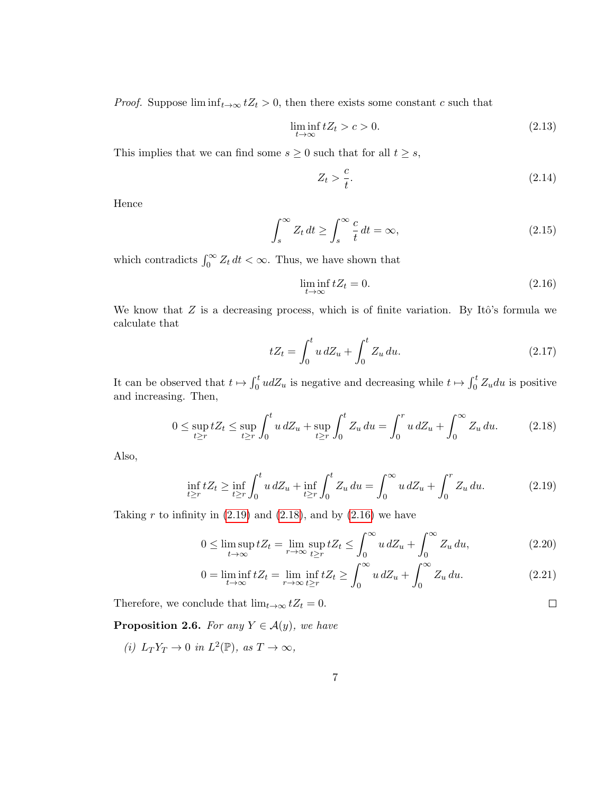*Proof.* Suppose  $\liminf_{t\to\infty} tZ_t > 0$ , then there exists some constant c such that

$$
\liminf_{t \to \infty} tZ_t > c > 0. \tag{2.13}
$$

This implies that we can find some  $s \geq 0$  such that for all  $t \geq s$ ,

$$
Z_t > \frac{c}{t}.\tag{2.14}
$$

Hence

$$
\int_{s}^{\infty} Z_t dt \ge \int_{s}^{\infty} \frac{c}{t} dt = \infty,
$$
\n(2.15)

which contradicts  $\int_0^\infty Z_t dt < \infty$ . Thus, we have shown that

<span id="page-6-3"></span>
$$
\liminf_{t \to \infty} tZ_t = 0. \tag{2.16}
$$

We know that  $Z$  is a decreasing process, which is of finite variation. By Itô's formula we calculate that

$$
tZ_t = \int_0^t u \, dZ_u + \int_0^t Z_u \, du. \tag{2.17}
$$

It can be observed that  $t \mapsto \int_0^t u dZ_u$  is negative and decreasing while  $t \mapsto \int_0^t Z_u du$  is positive and increasing. Then,

$$
0 \le \sup_{t \ge r} t Z_t \le \sup_{t \ge r} \int_0^t u \, dZ_u + \sup_{t \ge r} \int_0^t Z_u \, du = \int_0^r u \, dZ_u + \int_0^\infty Z_u \, du. \tag{2.18}
$$

Also,

$$
\inf_{t \ge r} t Z_t \ge \inf_{t \ge r} \int_0^t u \, dZ_u + \inf_{t \ge r} \int_0^t Z_u \, du = \int_0^\infty u \, dZ_u + \int_0^r Z_u \, du. \tag{2.19}
$$

Taking r to infinity in  $(2.19)$  and  $(2.18)$ , and by  $(2.16)$  we have

$$
0 \le \limsup_{t \to \infty} tZ_t = \lim_{r \to \infty} \sup_{t \ge r} tZ_t \le \int_0^\infty u \, dZ_u + \int_0^\infty Z_u \, du,\tag{2.20}
$$

$$
0 = \liminf_{t \to \infty} tZ_t = \liminf_{r \to \infty} tZ_t \ge \int_0^\infty u \, dZ_u + \int_0^\infty Z_u \, du. \tag{2.21}
$$

Therefore, we conclude that  $\lim_{t\to\infty} tZ_t = 0.$ 

<span id="page-6-0"></span>**Proposition 2.6.** For any  $Y \in \mathcal{A}(y)$ , we have

(i)  $L_T Y_T \to 0$  in  $L^2(\mathbb{P})$ , as  $T \to \infty$ ,

<span id="page-6-2"></span><span id="page-6-1"></span> $\Box$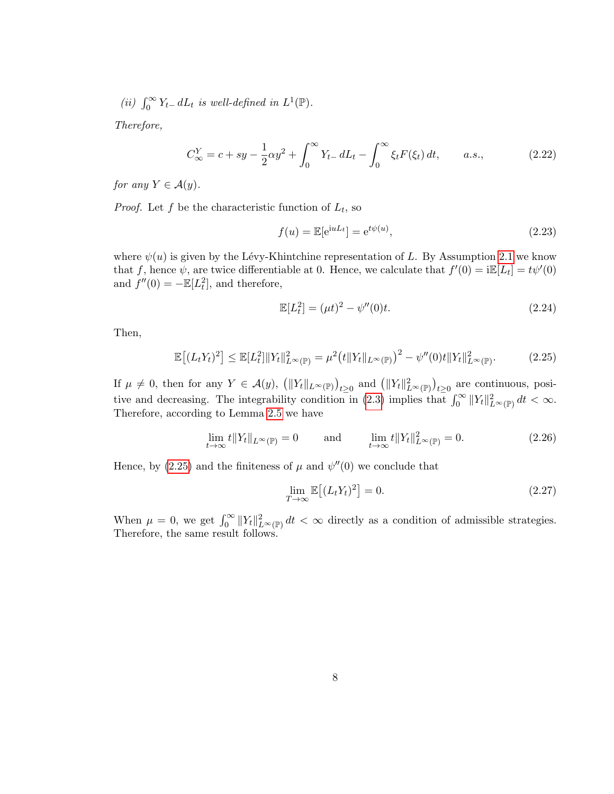(ii)  $\int_0^\infty Y_{t-} dL_t$  is well-defined in  $L^1(\mathbb{P})$ .

Therefore,

$$
C_{\infty}^{Y} = c + sy - \frac{1}{2}\alpha y^{2} + \int_{0}^{\infty} Y_{t-} dL_{t} - \int_{0}^{\infty} \xi_{t} F(\xi_{t}) dt, \qquad a.s., \qquad (2.22)
$$

for any  $Y \in \mathcal{A}(y)$ .

*Proof.* Let f be the characteristic function of  $L_t$ , so

<span id="page-7-1"></span>
$$
f(u) = \mathbb{E}[e^{iuL_t}] = e^{t\psi(u)},
$$
\n
$$
(2.23)
$$

where  $\psi(u)$  is given by the Lévy-Khintchine representation of L. By Assumption [2.1](#page-3-0) we know that f, hence  $\psi$ , are twice differentiable at 0. Hence, we calculate that  $f'(0) = i\mathbb{E}[L_t] = t\psi'(0)$ and  $f''(0) = -\mathbb{E}[L_t^2]$ , and therefore,

<span id="page-7-0"></span>
$$
\mathbb{E}[L_t^2] = (\mu t)^2 - \psi''(0)t.
$$
\n(2.24)

Then,

$$
\mathbb{E}\left[(L_tY_t)^2\right] \le \mathbb{E}[L_t^2] \|Y_t\|_{L^\infty(\mathbb{P})}^2 = \mu^2 \big(t \|Y_t\|_{L^\infty(\mathbb{P})}\big)^2 - \psi''(0)t \|Y_t\|_{L^\infty(\mathbb{P})}^2. \tag{2.25}
$$

If  $\mu \neq 0$ , then for any  $Y \in \mathcal{A}(y)$ ,  $\left( \|Y_t\|_{L^{\infty}(\mathbb{P})} \right)_{t \geq 0}$  and  $\left( \|Y_t\|_{L^{\infty}(\mathbb{P})}^2 \right)_{t \geq 0}$  are continuous, posi-tive and decreasing. The integrability condition in [\(2.3\)](#page-3-1) implies that  $\int_0^\infty ||Y_t||_{L^\infty(\mathbb{P})}^2 dt < \infty$ . Therefore, according to Lemma [2.5](#page-5-0) we have

$$
\lim_{t \to \infty} t \|Y_t\|_{L^{\infty}(\mathbb{P})} = 0 \quad \text{and} \quad \lim_{t \to \infty} t \|Y_t\|_{L^{\infty}(\mathbb{P})}^2 = 0. \tag{2.26}
$$

Hence, by [\(2.25\)](#page-7-0) and the finiteness of  $\mu$  and  $\psi''(0)$  we conclude that

$$
\lim_{T \to \infty} \mathbb{E}\left[ (L_t Y_t)^2 \right] = 0. \tag{2.27}
$$

When  $\mu = 0$ , we get  $\int_0^\infty ||Y_t||^2_{L^\infty(\mathbb{P})} dt < \infty$  directly as a condition of admissible strategies. Therefore, the same result follows.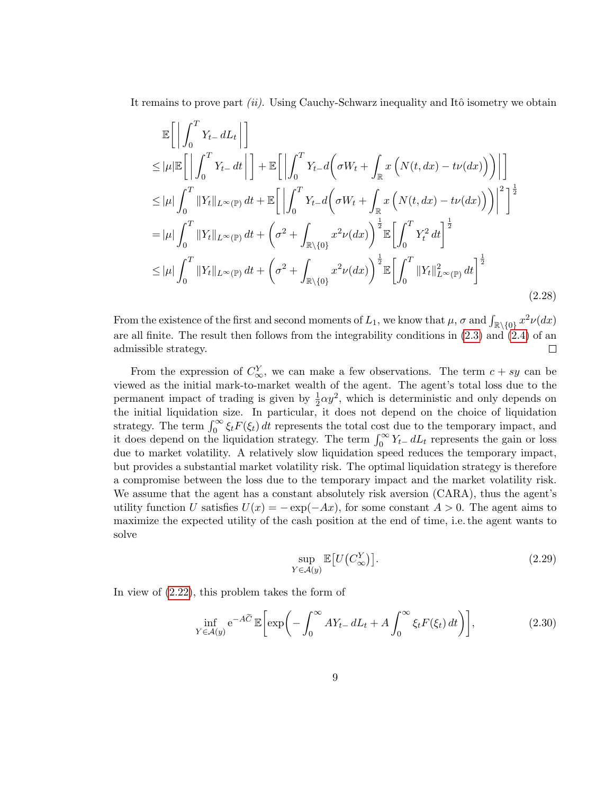It remains to prove part *(ii)*. Using Cauchy-Schwarz inequality and Itô isometry we obtain

$$
\mathbb{E}\left[\left|\int_{0}^{T} Y_{t-} dL_{t}\right|\right] \leq |\mu| \mathbb{E}\left[\left|\int_{0}^{T} Y_{t-} dt\right|\right] + \mathbb{E}\left[\left|\int_{0}^{T} Y_{t-} d\left(\sigma W_{t} + \int_{\mathbb{R}} x\left(N(t, dx) - t\nu(dx)\right)\right)\right|\right] \leq |\mu| \int_{0}^{T} \|Y_{t}\|_{L^{\infty}(\mathbb{P})} dt + \mathbb{E}\left[\left|\int_{0}^{T} Y_{t-} d\left(\sigma W_{t} + \int_{\mathbb{R}} x\left(N(t, dx) - t\nu(dx)\right)\right)\right|^{2}\right]^{1/2}
$$

$$
= |\mu| \int_{0}^{T} \|Y_{t}\|_{L^{\infty}(\mathbb{P})} dt + \left(\sigma^{2} + \int_{\mathbb{R}\setminus\{0\}} x^{2}\nu(dx)\right)^{1/2} \mathbb{E}\left[\int_{0}^{T} Y_{t}^{2} dt\right]^{1/2}
$$

$$
\leq |\mu| \int_{0}^{T} \|Y_{t}\|_{L^{\infty}(\mathbb{P})} dt + \left(\sigma^{2} + \int_{\mathbb{R}\setminus\{0\}} x^{2}\nu(dx)\right)^{1/2} \mathbb{E}\left[\int_{0}^{T} \|Y_{t}\|_{L^{\infty}(\mathbb{P})}^{2} dt\right]^{1/2}
$$
(2.28)

From the existence of the first and second moments of  $L_1$ , we know that  $\mu$ ,  $\sigma$  and  $\int_{\mathbb{R}\setminus\{0\}} x^2 \nu(dx)$ are all finite. The result then follows from the integrability conditions in [\(2.3\)](#page-3-1) and [\(2.4\)](#page-3-2) of an admissible strategy.  $\Box$ 

From the expression of  $C^Y_{\infty}$ , we can make a few observations. The term  $c + sy$  can be viewed as the initial mark-to-market wealth of the agent. The agent's total loss due to the permanent impact of trading is given by  $\frac{1}{2}\alpha y^2$ , which is deterministic and only depends on the initial liquidation size. In particular, it does not depend on the choice of liquidation strategy. The term  $\int_0^\infty \xi_t F(\xi_t) dt$  represents the total cost due to the temporary impact, and it does depend on the liquidation strategy. The term  $\int_0^\infty Y_t - dL_t$  represents the gain or loss due to market volatility. A relatively slow liquidation speed reduces the temporary impact, but provides a substantial market volatility risk. The optimal liquidation strategy is therefore a compromise between the loss due to the temporary impact and the market volatility risk. We assume that the agent has a constant absolutely risk aversion (CARA), thus the agent's utility function U satisfies  $U(x) = -\exp(-Ax)$ , for some constant  $A > 0$ . The agent aims to maximize the expected utility of the cash position at the end of time, i.e. the agent wants to solve

<span id="page-8-1"></span><span id="page-8-0"></span>
$$
\sup_{Y \in \mathcal{A}(y)} \mathbb{E}\big[U\big(C_{\infty}^Y\big)\big].\tag{2.29}
$$

In view of [\(2.22\)](#page-7-1), this problem takes the form of

$$
\inf_{Y \in \mathcal{A}(y)} e^{-A\widetilde{C}} \mathbb{E}\bigg[\exp\bigg(-\int_0^\infty AY_{t-} \, dL_t + A \int_0^\infty \xi_t F(\xi_t) \, dt\bigg)\bigg],\tag{2.30}
$$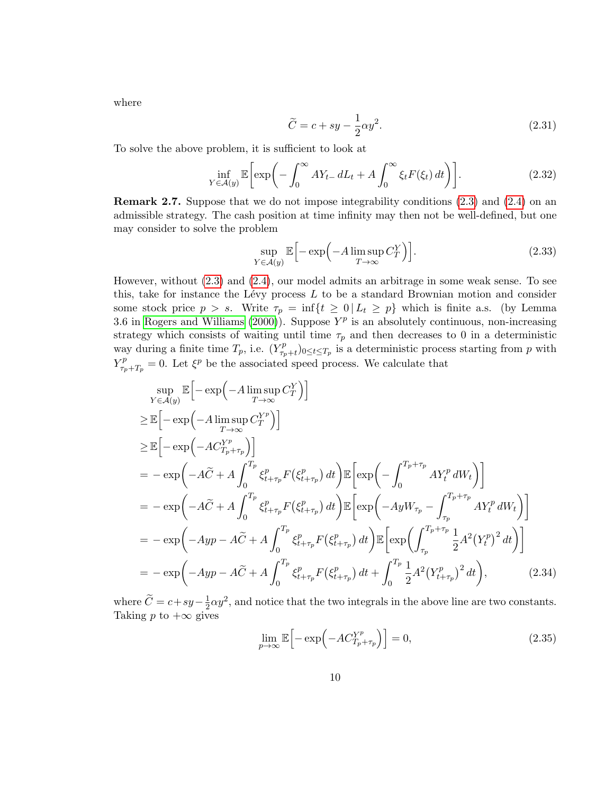where

<span id="page-9-1"></span>
$$
\widetilde{C} = c + sy - \frac{1}{2}\alpha y^2.
$$
\n(2.31)

To solve the above problem, it is sufficient to look at

$$
\inf_{Y \in \mathcal{A}(y)} \mathbb{E} \bigg[ \exp \bigg( - \int_0^\infty A Y_{t-} \, dL_t + A \int_0^\infty \xi_t F(\xi_t) \, dt \bigg) \bigg]. \tag{2.32}
$$

<span id="page-9-0"></span>Remark 2.7. Suppose that we do not impose integrability conditions [\(2.3\)](#page-3-1) and [\(2.4\)](#page-3-2) on an admissible strategy. The cash position at time infinity may then not be well-defined, but one may consider to solve the problem

$$
\sup_{Y \in \mathcal{A}(y)} \mathbb{E} \Big[ -\exp\Big( -A \limsup_{T \to \infty} C_T^Y \Big) \Big]. \tag{2.33}
$$

However, without [\(2.3\)](#page-3-1) and [\(2.4\)](#page-3-2), our model admits an arbitrage in some weak sense. To see this, take for instance the Lévy process  $L$  to be a standard Brownian motion and consider some stock price  $p > s$ . Write  $\tau_p = \inf\{t \geq 0 | L_t \geq p\}$  which is finite a.s. (by Lemma 3.6 in [Rogers and Williams \(2000\)](#page-35-10)). Suppose  $Y^p$  is an absolutely continuous, non-increasing strategy which consists of waiting until time  $\tau_p$  and then decreases to 0 in a deterministic way during a finite time  $T_p$ , i.e.  $(Y_{\tau_n}^p)$  $(\tau_{p}^p)_{0 \le t \le T_p}$  is a deterministic process starting from p with  $Y_{\tau}^p$  $\zeta_{\tau_p+T_p}^p = 0.$  Let  $\xi^p$  be the associated speed process. We calculate that

$$
\sup_{Y \in \mathcal{A}(y)} \mathbb{E} \left[ -\exp\left( -A \limsup_{T \to \infty} C_T^Y \right) \right]
$$
\n
$$
\geq \mathbb{E} \left[ -\exp\left( -A \limsup_{T \to \infty} C_T^{Y^p} \right) \right]
$$
\n
$$
\geq \mathbb{E} \left[ -\exp\left( -A C_{T_p + \tau_p}^{Y^p} \right) \right]
$$
\n
$$
= -\exp\left( -A \widetilde{C} + A \int_0^{T_p} \xi_{t+\tau_p}^p F(\xi_{t+\tau_p}^p) dt \right) \mathbb{E} \left[ \exp\left( -\int_0^{T_p + \tau_p} A Y_t^p dW_t \right) \right]
$$
\n
$$
= -\exp\left( -A \widetilde{C} + A \int_0^{T_p} \xi_{t+\tau_p}^p F(\xi_{t+\tau_p}^p) dt \right) \mathbb{E} \left[ \exp\left( -A y W_{\tau_p} - \int_{\tau_p}^{T_p + \tau_p} A Y_t^p dW_t \right) \right]
$$
\n
$$
= -\exp\left( -A y p - A \widetilde{C} + A \int_0^{T_p} \xi_{t+\tau_p}^p F(\xi_{t+\tau_p}^p) dt \right) \mathbb{E} \left[ \exp\left( \int_{\tau_p}^{T_p + \tau_p} \frac{1}{2} A^2 (Y_t^p)^2 dt \right) \right]
$$
\n
$$
= -\exp\left( -A y p - A \widetilde{C} + A \int_0^{T_p} \xi_{t+\tau_p}^p F(\xi_{t+\tau_p}^p) dt + \int_0^{T_p} \frac{1}{2} A^2 (Y_{t+\tau_p}^p)^2 dt \right), \tag{2.34}
$$

where  $\widetilde{C} = c + sy - \frac{1}{2}$  $\frac{1}{2}\alpha y^2$ , and notice that the two integrals in the above line are two constants. Taking p to  $+\infty$  gives

$$
\lim_{p \to \infty} \mathbb{E} \left[ -\exp\left( -AC_{T_p + \tau_p}^{Y^p} \right) \right] = 0,\tag{2.35}
$$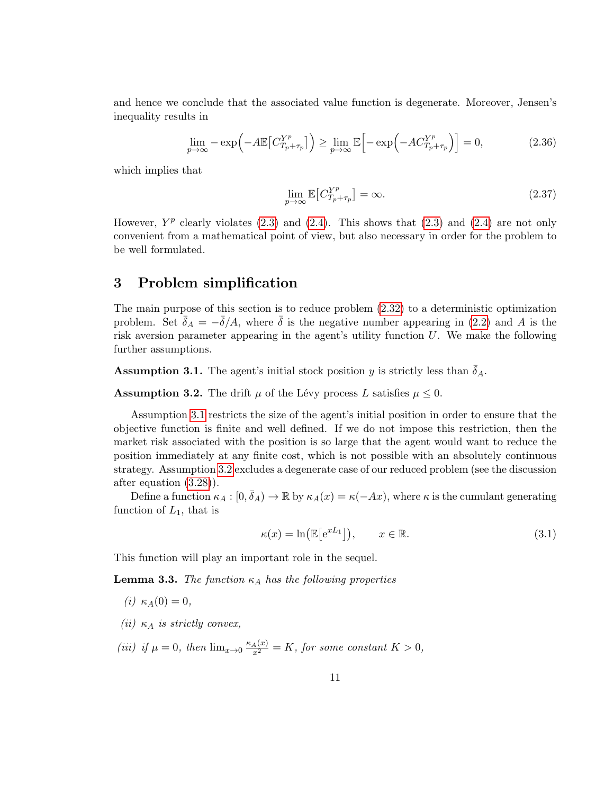and hence we conclude that the associated value function is degenerate. Moreover, Jensen's inequality results in

$$
\lim_{p \to \infty} -\exp\left(-A\mathbb{E}\left[C_{T_p + \tau_p}^{Y^p}\right]\right) \ge \lim_{p \to \infty} \mathbb{E}\left[-\exp\left(-A C_{T_p + \tau_p}^{Y^p}\right)\right] = 0,\tag{2.36}
$$

which implies that

$$
\lim_{p \to \infty} \mathbb{E}\left[C_{T_p + \tau_p}^{Y^p}\right] = \infty. \tag{2.37}
$$

However,  $Y^p$  clearly violates [\(2.3\)](#page-3-1) and [\(2.4\)](#page-3-2). This shows that (2.3) and (2.4) are not only convenient from a mathematical point of view, but also necessary in order for the problem to be well formulated.

# 3 Problem simplification

The main purpose of this section is to reduce problem [\(2.32\)](#page-9-1) to a deterministic optimization problem. Set  $\bar{\delta}_A = -\bar{\delta}/A$ , where  $\bar{\delta}$  is the negative number appearing in [\(2.2\)](#page-3-3) and A is the risk aversion parameter appearing in the agent's utility function  $U$ . We make the following further assumptions.

<span id="page-10-0"></span>**Assumption 3.1.** The agent's initial stock position y is strictly less than  $\bar{\delta}_A$ .

<span id="page-10-1"></span>**Assumption 3.2.** The drift  $\mu$  of the Lévy process L satisfies  $\mu \leq 0$ .

Assumption [3.1](#page-10-0) restricts the size of the agent's initial position in order to ensure that the objective function is finite and well defined. If we do not impose this restriction, then the market risk associated with the position is so large that the agent would want to reduce the position immediately at any finite cost, which is not possible with an absolutely continuous strategy. Assumption [3.2](#page-10-1) excludes a degenerate case of our reduced problem (see the discussion after equation [\(3.28\)](#page-15-1)).

Define a function  $\kappa_A : [0, \bar{\delta}_A) \to \mathbb{R}$  by  $\kappa_A(x) = \kappa(-Ax)$ , where  $\kappa$  is the cumulant generating function of  $L_1$ , that is

$$
\kappa(x) = \ln\left(\mathbb{E}\left[e^{xL_1}\right]\right), \qquad x \in \mathbb{R}.\tag{3.1}
$$

This function will play an important role in the sequel.

<span id="page-10-2"></span>**Lemma 3.3.** The function  $\kappa_A$  has the following properties

- (*i*)  $\kappa_A(0) = 0$ ,
- (ii)  $\kappa_A$  is strictly convex,
- (iii) if  $\mu = 0$ , then  $\lim_{x \to 0} \frac{\kappa_A(x)}{x^2} = K$ , for some constant  $K > 0$ ,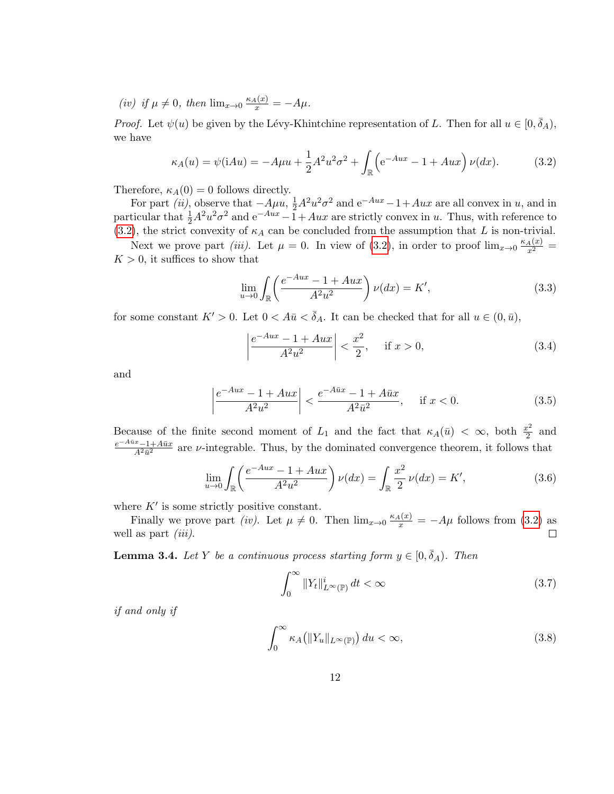(iv) if  $\mu \neq 0$ , then  $\lim_{x\to 0} \frac{\kappa_A(x)}{x} = -A\mu$ .

*Proof.* Let  $\psi(u)$  be given by the Lévy-Khintchine representation of L. Then for all  $u \in [0, \bar{\delta}_A)$ , we have

$$
\kappa_A(u) = \psi(iAu) = -A\mu u + \frac{1}{2}A^2 u^2 \sigma^2 + \int_{\mathbb{R}} \left( e^{-Au} - 1 + Aux \right) \nu(dx).
$$
 (3.2)

Therefore,  $\kappa_A(0) = 0$  follows directly.

For part *(ii)*, observe that  $-A\mu u$ ,  $\frac{1}{2}A^2u^2\sigma^2$  and  $e^{-Au} - 1 + Aux$  are all convex in u, and in particular that  $\frac{1}{2}A^2u^2\sigma^2$  and  $e^{-Aux} -1+Aux$  are strictly convex in u. Thus, with reference to [\(3.2\)](#page-11-0), the strict convexity of  $\kappa_A$  can be concluded from the assumption that L is non-trivial.

Next we prove part *(iii)*. Let  $\mu = 0$ . In view of [\(3.2\)](#page-11-0), in order to proof  $\lim_{x\to 0} \frac{\kappa_A(x)}{x^2}$  $K > 0$ , it suffices to show that

<span id="page-11-0"></span>
$$
\lim_{u \to 0} \int_{\mathbb{R}} \left( \frac{e^{-Aux} - 1 + Aux}{A^2 u^2} \right) \nu(dx) = K', \tag{3.3}
$$

for some constant  $K' > 0$ . Let  $0 < A\bar{u} < \bar{\delta}_A$ . It can be checked that for all  $u \in (0, \bar{u})$ ,

$$
\left| \frac{e^{-Aux} - 1 + Aux}{A^2 u^2} \right| < \frac{x^2}{2}, \quad \text{if } x > 0,\tag{3.4}
$$

and

$$
\left| \frac{e^{-Aux} - 1 + Aux}{A^2 u^2} \right| < \frac{e^{-A\bar{u}x} - 1 + A\bar{u}x}{A^2 \bar{u}^2}, \quad \text{if } x < 0. \tag{3.5}
$$

Because of the finite second moment of  $L_1$  and the fact that  $\kappa_A(\bar{u}) < \infty$ , both  $\frac{x^2}{2}$  $rac{c^2}{2}$  and  $e^{-A\bar{u}x}-1+A\bar{u}x$  $\frac{x-1+A\bar{u}x}{A^2\bar{u}^2}$  are *v*-integrable. Thus, by the dominated convergence theorem, it follows that

$$
\lim_{u \to 0} \int_{\mathbb{R}} \left( \frac{e^{-Aux} - 1 + Aux}{A^2 u^2} \right) \nu(dx) = \int_{\mathbb{R}} \frac{x^2}{2} \nu(dx) = K', \tag{3.6}
$$

where  $K'$  is some strictly positive constant.

Finally we prove part (iv). Let  $\mu \neq 0$ . Then  $\lim_{x\to 0} \frac{\kappa_A(x)}{x} = -A\mu$  follows from [\(3.2\)](#page-11-0) as well as part  $(iii)$ .

<span id="page-11-1"></span>**Lemma 3.4.** Let Y be a continuous process starting form  $y \in [0, \bar{\delta}_A)$ . Then

$$
\int_0^\infty \|Y_t\|_{L^\infty(\mathbb{P})}^i dt < \infty \tag{3.7}
$$

if and only if

$$
\int_0^\infty \kappa_A \left( \|Y_u\|_{L^\infty(\mathbb{P})} \right) du < \infty,\tag{3.8}
$$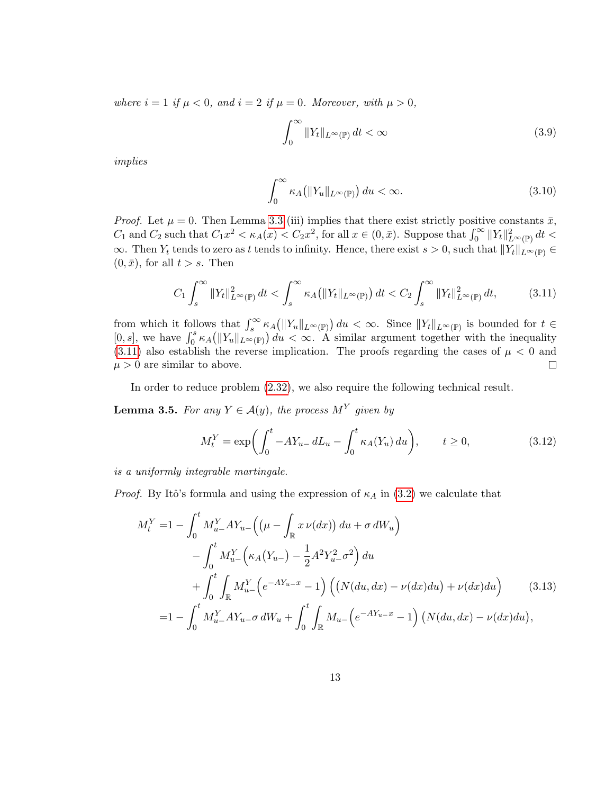where  $i = 1$  if  $\mu < 0$ , and  $i = 2$  if  $\mu = 0$ . Moreover, with  $\mu > 0$ ,

$$
\int_0^\infty \|Y_t\|_{L^\infty(\mathbb{P})} dt < \infty \tag{3.9}
$$

implies

<span id="page-12-0"></span>
$$
\int_0^\infty \kappa_A \left( \|Y_u\|_{L^\infty(\mathbb{P})} \right) du < \infty. \tag{3.10}
$$

*Proof.* Let  $\mu = 0$ . Then Lemma [3.3](#page-10-2) (iii) implies that there exist strictly positive constants  $\bar{x}$ ,  $C_1$  and  $C_2$  such that  $C_1x^2 < \kappa_A(x) < C_2x^2$ , for all  $x \in (0, \bar{x})$ . Suppose that  $\int_0^\infty ||Y_t||_{L^\infty(\mathbb{P})}^2 dt <$  $\infty$ . Then  $Y_t$  tends to zero as t tends to infinity. Hence, there exist  $s > 0$ , such that  $||Y_t||_{L^{\infty}(\mathbb{P})} \in$  $(0, \bar{x})$ , for all  $t > s$ . Then

$$
C_1 \int_s^\infty \|Y_t\|_{L^\infty(\mathbb{P})}^2 dt < \int_s^\infty \kappa_A \big(\|Y_t\|_{L^\infty(\mathbb{P})}\big) dt < C_2 \int_s^\infty \|Y_t\|_{L^\infty(\mathbb{P})}^2 dt,\tag{3.11}
$$

from which it follows that  $\int_s^{\infty} \kappa_A(|Y_u||_{L^{\infty}(\mathbb{P})}) du < \infty$ . Since  $||Y_t||_{L^{\infty}(\mathbb{P})}$  is bounded for  $t \in$ [0, s], we have  $\int_0^s \kappa_A(|Y_u||_{L^\infty(\mathbb{P})}) du < \infty$ . A similar argument together with the inequality  $(3.11)$  also establish the reverse implication. The proofs regarding the cases of  $\mu < 0$  and  $\mu > 0$  are similar to above.  $\Box$ 

In order to reduce problem [\(2.32\)](#page-9-1), we also require the following technical result.

<span id="page-12-2"></span>**Lemma 3.5.** For any  $Y \in \mathcal{A}(y)$ , the process  $M^Y$  given by

<span id="page-12-1"></span>
$$
M_t^Y = \exp\left(\int_0^t -AY_{u-} \, dL_u - \int_0^t \kappa_A(Y_u) \, du\right), \qquad t \ge 0,
$$
\n(3.12)

is a uniformly integrable martingale.

*Proof.* By Itô's formula and using the expression of  $\kappa_A$  in [\(3.2\)](#page-11-0) we calculate that

$$
M_t^Y = 1 - \int_0^t M_{u-}^Y A Y_{u-} \left( \left( \mu - \int_{\mathbb{R}} x \nu(dx) \right) du + \sigma dW_u \right) - \int_0^t M_{u-}^Y \left( \kappa_A (Y_{u-}) - \frac{1}{2} A^2 Y_{u-}^2 \sigma^2 \right) du + \int_0^t \int_{\mathbb{R}} M_{u-}^Y \left( e^{-AY_{u-x}} - 1 \right) \left( \left( N(du, dx) - \nu(dx) du \right) + \nu(dx) du \right) = 1 - \int_0^t M_{u-}^Y A Y_{u-} \sigma dW_u + \int_0^t \int_{\mathbb{R}} M_{u-} \left( e^{-AY_{u-x}} - 1 \right) \left( N(du, dx) - \nu(dx) du \right),
$$
(3.13)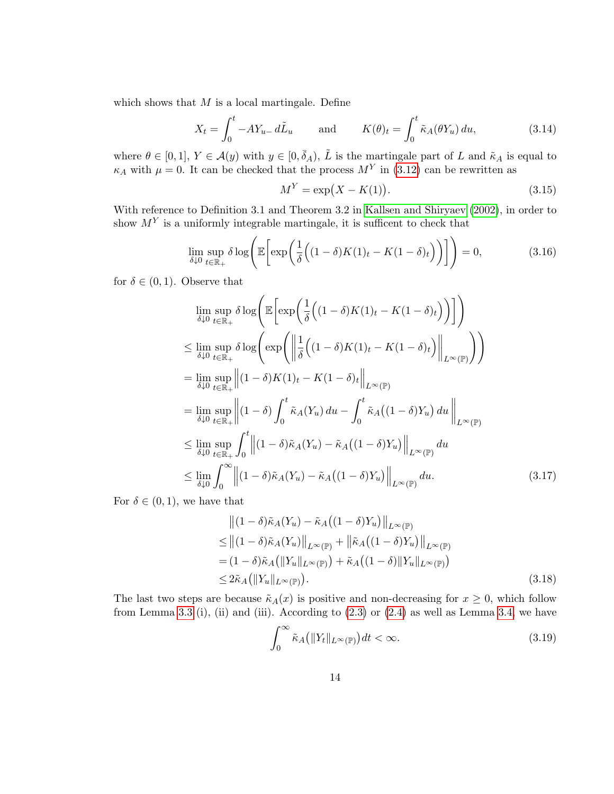which shows that  $M$  is a local martingale. Define

$$
X_t = \int_0^t -AY_{u-} d\tilde{L}_u \quad \text{and} \quad K(\theta)_t = \int_0^t \tilde{\kappa}_A(\theta Y_u) du,
$$
 (3.14)

where  $\theta \in [0,1], Y \in \mathcal{A}(y)$  with  $y \in [0,\bar{\delta}_A), \tilde{L}$  is the martingale part of L and  $\tilde{\kappa}_A$  is equal to  $\kappa_A$  with  $\mu = 0$ . It can be checked that the process  $M<sup>Y</sup>$  in [\(3.12\)](#page-12-1) can be rewritten as

<span id="page-13-1"></span>
$$
M^Y = \exp(X - K(1)).
$$
\n(3.15)

With reference to Definition 3.1 and Theorem 3.2 in [Kallsen and Shiryaev \(2002\)](#page-35-11), in order to show  $M<sup>Y</sup>$  is a uniformly integrable martingale, it is sufficent to check that

$$
\lim_{\delta \downarrow 0} \sup_{t \in \mathbb{R}_+} \delta \log \left( \mathbb{E} \left[ \exp \left( \frac{1}{\delta} \left( (1 - \delta) K(1)_t - K(1 - \delta)_t \right) \right) \right] \right) = 0, \tag{3.16}
$$

for  $\delta \in (0,1)$ . Observe that

$$
\lim_{\delta \downarrow 0} \sup_{t \in \mathbb{R}_{+}} \delta \log \left( \mathbb{E} \left[ \exp \left( \frac{1}{\delta} \left( (1 - \delta) K(1)_{t} - K(1 - \delta)_{t} \right) \right) \right] \right)
$$
\n
$$
\leq \lim_{\delta \downarrow 0} \sup_{t \in \mathbb{R}_{+}} \delta \log \left( \exp \left( \left\| \frac{1}{\delta} \left( (1 - \delta) K(1)_{t} - K(1 - \delta)_{t} \right) \right\|_{L^{\infty}(\mathbb{P})} \right) \right)
$$
\n
$$
= \lim_{\delta \downarrow 0} \sup_{t \in \mathbb{R}_{+}} \left\| (1 - \delta) K(1)_{t} - K(1 - \delta)_{t} \right\|_{L^{\infty}(\mathbb{P})}
$$
\n
$$
= \lim_{\delta \downarrow 0} \sup_{t \in \mathbb{R}_{+}} \left\| (1 - \delta) \int_{0}^{t} \tilde{\kappa}_{A} (Y_{u}) du - \int_{0}^{t} \tilde{\kappa}_{A} ((1 - \delta) Y_{u}) du \right\|_{L^{\infty}(\mathbb{P})}
$$
\n
$$
\leq \lim_{\delta \downarrow 0} \sup_{t \in \mathbb{R}_{+}} \int_{0}^{t} \left\| (1 - \delta) \tilde{\kappa}_{A} (Y_{u}) - \tilde{\kappa}_{A} ((1 - \delta) Y_{u}) \right\|_{L^{\infty}(\mathbb{P})} du
$$
\n
$$
\leq \lim_{\delta \downarrow 0} \int_{0}^{\infty} \left\| (1 - \delta) \tilde{\kappa}_{A} (Y_{u}) - \tilde{\kappa}_{A} ((1 - \delta) Y_{u}) \right\|_{L^{\infty}(\mathbb{P})} du. \tag{3.17}
$$

For  $\delta \in (0,1)$ , we have that

$$
\begin{split} &\left\| (1 - \delta) \tilde{\kappa}_A(Y_u) - \tilde{\kappa}_A \big( (1 - \delta) Y_u \big) \right\|_{L^\infty(\mathbb{P})} \\ &\leq \left\| (1 - \delta) \tilde{\kappa}_A(Y_u) \right\|_{L^\infty(\mathbb{P})} + \left\| \tilde{\kappa}_A \big( (1 - \delta) Y_u \big) \right\|_{L^\infty(\mathbb{P})} \\ & = (1 - \delta) \tilde{\kappa}_A \big( \|Y_u\|_{L^\infty(\mathbb{P})} \big) + \tilde{\kappa}_A \big( (1 - \delta) \|Y_u\|_{L^\infty(\mathbb{P})} \big) \\ &\leq 2 \tilde{\kappa}_A \big( \|Y_u\|_{L^\infty(\mathbb{P})} \big). \end{split} \tag{3.18}
$$

The last two steps are because  $\tilde{\kappa}_A(x)$  is positive and non-decreasing for  $x \geq 0$ , which follow from Lemma [3.3](#page-10-2) (i), (ii) and (iii). According to  $(2.3)$  or  $(2.4)$  as well as Lemma [3.4,](#page-11-1) we have

<span id="page-13-0"></span>
$$
\int_0^\infty \tilde{\kappa}_A(|Y_t||_{L^\infty(\mathbb{P})})dt < \infty.
$$
\n(3.19)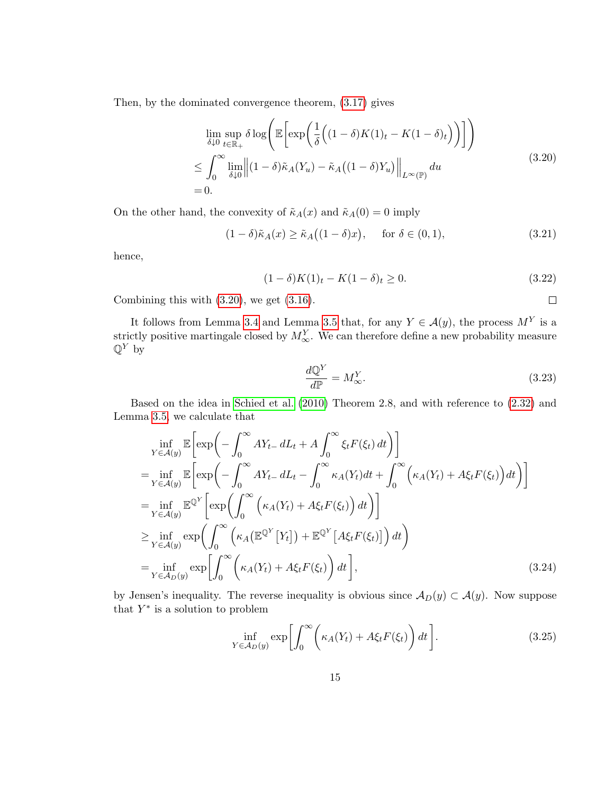<span id="page-14-0"></span>Then, by the dominated convergence theorem, [\(3.17\)](#page-13-0) gives

$$
\lim_{\delta \downarrow 0} \sup_{t \in \mathbb{R}_+} \delta \log \left( \mathbb{E} \left[ \exp \left( \frac{1}{\delta} \left( (1 - \delta) K(1)_t - K(1 - \delta)_t \right) \right) \right] \right)
$$
\n
$$
\leq \int_0^\infty \lim_{\delta \downarrow 0} \left\| (1 - \delta) \tilde{\kappa}_A (Y_u) - \tilde{\kappa}_A \left( (1 - \delta) Y_u \right) \right\|_{L^\infty(\mathbb{P})} du \tag{3.20}
$$
\n
$$
= 0.
$$

On the other hand, the convexity of  $\tilde{\kappa}_A(x)$  and  $\tilde{\kappa}_A(0) = 0$  imply

$$
(1 - \delta)\tilde{\kappa}_A(x) \ge \tilde{\kappa}_A((1 - \delta)x), \quad \text{for } \delta \in (0, 1), \tag{3.21}
$$

hence,

$$
(1 - \delta)K(1)_t - K(1 - \delta)_t \ge 0.
$$
\n(3.22)

Combining this with [\(3.20\)](#page-14-0), we get [\(3.16\)](#page-13-1).

It follows from Lemma [3.4](#page-11-1) and Lemma [3.5](#page-12-2) that, for any  $Y \in \mathcal{A}(y)$ , the process  $M^Y$  is a strictly positive martingale closed by  $M_{\infty}^Y$ . We can therefore define a new probability measure  $\mathbb{Q}^Y$  by

$$
\frac{d\mathbb{Q}^Y}{d\mathbb{P}} = M^Y_{\infty}.\tag{3.23}
$$

<span id="page-14-1"></span> $\Box$ 

Based on the idea in [Schied et al. \(2010\)](#page-36-0) Theorem 2.8, and with reference to [\(2.32\)](#page-9-1) and Lemma [3.5,](#page-12-2) we calculate that

$$
\inf_{Y \in \mathcal{A}(y)} \mathbb{E} \left[ \exp \left( - \int_0^\infty A Y_{t-} \, dL_t + A \int_0^\infty \xi_t F(\xi_t) \, dt \right) \right]
$$
\n
$$
= \inf_{Y \in \mathcal{A}(y)} \mathbb{E} \left[ \exp \left( - \int_0^\infty A Y_{t-} \, dL_t - \int_0^\infty \kappa_A (Y_t) \, dt + \int_0^\infty \left( \kappa_A (Y_t) + A \xi_t F(\xi_t) \right) \, dt \right) \right]
$$
\n
$$
= \inf_{Y \in \mathcal{A}(y)} \mathbb{E}^{\mathbb{Q}^Y} \left[ \exp \left( \int_0^\infty \left( \kappa_A (Y_t) + A \xi_t F(\xi_t) \right) \, dt \right) \right]
$$
\n
$$
\geq \inf_{Y \in \mathcal{A}(y)} \exp \left( \int_0^\infty \left( \kappa_A (\mathbb{E}^{\mathbb{Q}^Y} [Y_t]) + \mathbb{E}^{\mathbb{Q}^Y} [A \xi_t F(\xi_t) ] \right) \, dt \right)
$$
\n
$$
= \inf_{Y \in \mathcal{A}_D(y)} \exp \left[ \int_0^\infty \left( \kappa_A (Y_t) + A \xi_t F(\xi_t) \right) \, dt \right], \tag{3.24}
$$

by Jensen's inequality. The reverse inequality is obvious since  $\mathcal{A}_D(y) \subset \mathcal{A}(y)$ . Now suppose that  $Y^*$  is a solution to problem

$$
\inf_{Y \in \mathcal{A}_D(y)} \exp\left[\int_0^\infty \left(\kappa_A(Y_t) + A\xi_t F(\xi_t)\right) dt\right].\tag{3.25}
$$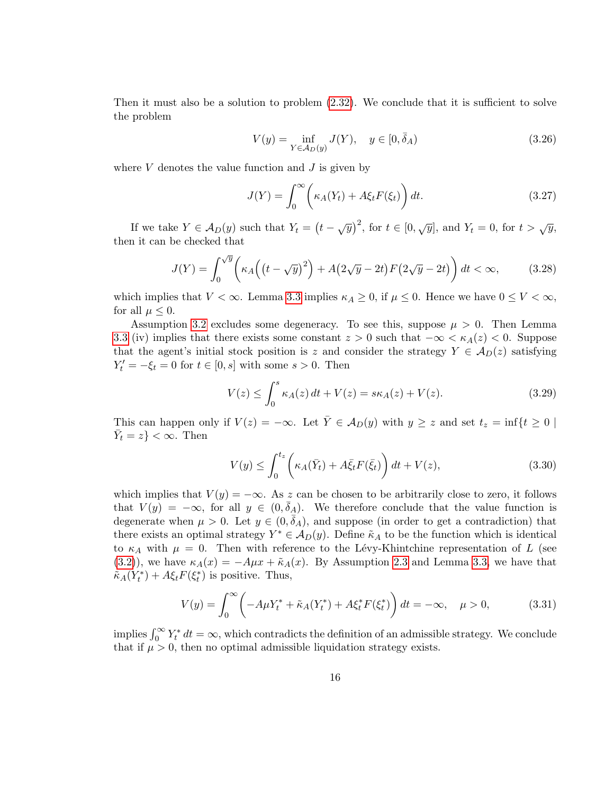Then it must also be a solution to problem  $(2.32)$ . We conclude that it is sufficient to solve the problem

<span id="page-15-2"></span><span id="page-15-0"></span>
$$
V(y) = \inf_{Y \in \mathcal{A}_D(y)} J(Y), \quad y \in [0, \bar{\delta}_A)
$$
 (3.26)

where  $V$  denotes the value function and  $J$  is given by

<span id="page-15-1"></span>
$$
J(Y) = \int_0^\infty \left( \kappa_A(Y_t) + A\xi_t F(\xi_t) \right) dt.
$$
 (3.27)

If we take  $Y \in \mathcal{A}_D(y)$  such that  $Y_t = (t - \sqrt{y})^2$ , for  $t \in [0, \sqrt{y}]$ , and  $Y_t = 0$ , for  $t > \sqrt{y}$ , then it can be checked that

$$
J(Y) = \int_0^{\sqrt{y}} \left( \kappa_A \left( \left( t - \sqrt{y} \right)^2 \right) + A \left( 2\sqrt{y} - 2t \right) F \left( 2\sqrt{y} - 2t \right) \right) dt < \infty,\tag{3.28}
$$

which implies that  $V < \infty$ . Lemma [3.3](#page-10-2) implies  $\kappa_A \geq 0$ , if  $\mu \leq 0$ . Hence we have  $0 \leq V < \infty$ , for all  $\mu < 0$ .

Assumption [3.2](#page-10-1) excludes some degeneracy. To see this, suppose  $\mu > 0$ . Then Lemma [3.3](#page-10-2) (iv) implies that there exists some constant  $z > 0$  such that  $-\infty < \kappa_A(z) < 0$ . Suppose that the agent's initial stock position is z and consider the strategy  $Y \in \mathcal{A}_D(z)$  satisfying  $Y'_t = -\xi_t = 0$  for  $t \in [0, s]$  with some  $s > 0$ . Then

$$
V(z) \le \int_0^s \kappa_A(z) dt + V(z) = s\kappa_A(z) + V(z). \tag{3.29}
$$

This can happen only if  $V(z) = -\infty$ . Let  $\overline{Y} \in \mathcal{A}_D(y)$  with  $y \geq z$  and set  $t_z = \inf\{t \geq 0 \mid t \leq t\}$  $\bar{Y}_t = z$  <  $\infty$ . Then

$$
V(y) \le \int_0^{t_z} \left(\kappa_A(\bar{Y}_t) + A\bar{\xi}_t F(\bar{\xi}_t)\right) dt + V(z),\tag{3.30}
$$

which implies that  $V(y) = -\infty$ . As z can be chosen to be arbitrarily close to zero, it follows that  $V(y) = -\infty$ , for all  $y \in (0, \bar{\delta}_A)$ . We therefore conclude that the value function is degenerate when  $\mu > 0$ . Let  $y \in (0, \bar{\delta}_A)$ , and suppose (in order to get a contradiction) that there exists an optimal strategy  $Y^* \in \mathcal{A}_D(y)$ . Define  $\tilde{\kappa}_A$  to be the function which is identical to  $\kappa_A$  with  $\mu = 0$ . Then with reference to the Lévy-Khintchine representation of L (see [\(3.2\)](#page-11-0)), we have  $\kappa_A(x) = -A\mu x + \tilde{\kappa}_A(x)$ . By Assumption [2.3](#page-4-0) and Lemma [3.3,](#page-10-2) we have that  $\tilde{\kappa}_A(Y_t^*) + A\xi_t F(\xi_t^*)$  is positive. Thus,

$$
V(y) = \int_0^\infty \left( -A\mu Y_t^* + \tilde{\kappa}_A(Y_t^*) + A\xi_t^* F(\xi_t^*) \right) dt = -\infty, \quad \mu > 0,
$$
 (3.31)

implies  $\int_0^\infty Y_t^* dt = \infty$ , which contradicts the definition of an admissible strategy. We conclude that if  $\mu > 0$ , then no optimal admissible liquidation strategy exists.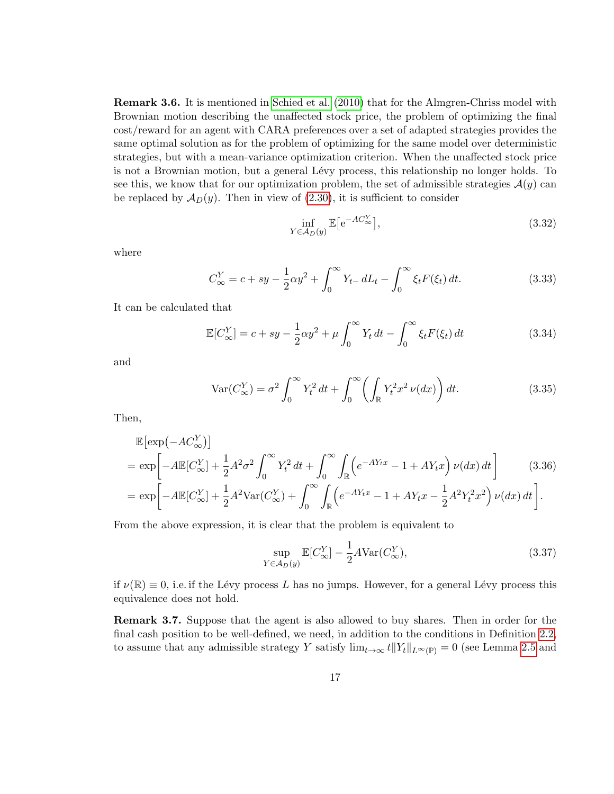Remark 3.6. It is mentioned in [Schied et al. \(2010\)](#page-36-0) that for the Almgren-Chriss model with Brownian motion describing the unaffected stock price, the problem of optimizing the final cost/reward for an agent with CARA preferences over a set of adapted strategies provides the same optimal solution as for the problem of optimizing for the same model over deterministic strategies, but with a mean-variance optimization criterion. When the unaffected stock price is not a Brownian motion, but a general Lévy process, this relationship no longer holds. To see this, we know that for our optimization problem, the set of admissible strategies  $\mathcal{A}(y)$  can be replaced by  $\mathcal{A}_D(y)$ . Then in view of [\(2.30\)](#page-8-0), it is sufficient to consider

$$
\inf_{Y \in \mathcal{A}_D(y)} \mathbb{E} \left[ e^{-AC_{\infty}^Y} \right],\tag{3.32}
$$

where

$$
C_{\infty}^{Y} = c + sy - \frac{1}{2}\alpha y^2 + \int_0^{\infty} Y_{t-} \, dL_t - \int_0^{\infty} \xi_t F(\xi_t) \, dt. \tag{3.33}
$$

It can be calculated that

$$
\mathbb{E}[C_{\infty}^Y] = c + sy - \frac{1}{2}\alpha y^2 + \mu \int_0^{\infty} Y_t dt - \int_0^{\infty} \xi_t F(\xi_t) dt
$$
\n(3.34)

and

$$
\operatorname{Var}(C_{\infty}^Y) = \sigma^2 \int_0^{\infty} Y_t^2 dt + \int_0^{\infty} \left( \int_{\mathbb{R}} Y_t^2 x^2 \nu(dx) \right) dt. \tag{3.35}
$$

Then,

$$
\mathbb{E}[\exp(-AC_{\infty}^{Y})]
$$
\n
$$
= \exp\left[-A\mathbb{E}[C_{\infty}^{Y}] + \frac{1}{2}A^{2}\sigma^{2}\int_{0}^{\infty}Y_{t}^{2}dt + \int_{0}^{\infty}\int_{\mathbb{R}}\left(e^{-AY_{t}x} - 1 + AY_{t}x\right)\nu(dx)dt\right]
$$
\n
$$
= \exp\left[-A\mathbb{E}[C_{\infty}^{Y}] + \frac{1}{2}A^{2}\text{Var}(C_{\infty}^{Y}) + \int_{0}^{\infty}\int_{\mathbb{R}}\left(e^{-AY_{t}x} - 1 + AY_{t}x - \frac{1}{2}A^{2}Y_{t}^{2}x^{2}\right)\nu(dx)dt\right].
$$
\n(3.36)

From the above expression, it is clear that the problem is equivalent to

$$
\sup_{Y \in \mathcal{A}_D(y)} \mathbb{E}[C^Y_{\infty}] - \frac{1}{2}A \text{Var}(C^Y_{\infty}),\tag{3.37}
$$

if  $\nu(\mathbb{R}) \equiv 0$ , i.e. if the Lévy process L has no jumps. However, for a general Lévy process this equivalence does not hold.

Remark 3.7. Suppose that the agent is also allowed to buy shares. Then in order for the final cash position to be well-defined, we need, in addition to the conditions in Definition [2.2,](#page-3-4) to assume that any admissible strategy Y satisfy  $\lim_{t\to\infty} t||Y_t||_{L^{\infty}(\mathbb{P})} = 0$  (see Lemma [2.5](#page-5-0) and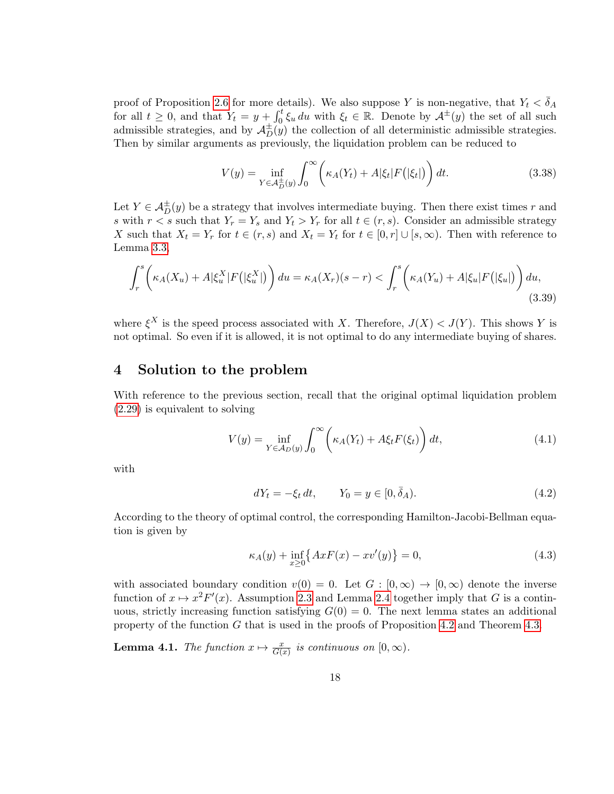proof of Proposition [2.6](#page-6-0) for more details). We also suppose Y is non-negative, that  $Y_t < \bar{\delta}_A$ for all  $t \geq 0$ , and that  $Y_t = y + \int_0^t \xi_u du$  with  $\xi_t \in \mathbb{R}$ . Denote by  $\mathcal{A}^{\pm}(y)$  the set of all such admissible strategies, and by  $\mathcal{A}_{D}^{\pm}(y)$  the collection of all deterministic admissible strategies. Then by similar arguments as previously, the liquidation problem can be reduced to

$$
V(y) = \inf_{Y \in \mathcal{A}_D^{\pm}(y)} \int_0^{\infty} \left( \kappa_A(Y_t) + A|\xi_t| F(|\xi_t|) \right) dt.
$$
 (3.38)

Let  $Y \in \mathcal{A}_{D}^{\pm}(y)$  be a strategy that involves intermediate buying. Then there exist times r and s with  $r < s$  such that  $Y_r = Y_s$  and  $Y_t > Y_r$  for all  $t \in (r, s)$ . Consider an admissible strategy X such that  $X_t = Y_r$  for  $t \in (r, s)$  and  $X_t = Y_t$  for  $t \in [0, r] \cup [s, \infty)$ . Then with reference to Lemma [3.3,](#page-10-2)

$$
\int_r^s \left(\kappa_A(X_u) + A|\xi_u^X|F(|\xi_u^X|)\right) du = \kappa_A(X_r)(s-r) < \int_r^s \left(\kappa_A(Y_u) + A|\xi_u|F(|\xi_u|)\right) du,\tag{3.39}
$$

where  $\xi^{X}$  is the speed process associated with X. Therefore,  $J(X) < J(Y)$ . This shows Y is not optimal. So even if it is allowed, it is not optimal to do any intermediate buying of shares.

#### 4 Solution to the problem

With reference to the previous section, recall that the original optimal liquidation problem [\(2.29\)](#page-8-1) is equivalent to solving

$$
V(y) = \inf_{Y \in \mathcal{A}_D(y)} \int_0^\infty \left( \kappa_A(Y_t) + A\xi_t F(\xi_t) \right) dt,\tag{4.1}
$$

with

$$
dY_t = -\xi_t dt, \qquad Y_0 = y \in [0, \bar{\delta}_A). \tag{4.2}
$$

According to the theory of optimal control, the corresponding Hamilton-Jacobi-Bellman equation is given by

<span id="page-17-0"></span>
$$
\kappa_A(y) + \inf_{x \ge 0} \{ Ax F(x) - x v'(y) \} = 0,
$$
\n(4.3)

with associated boundary condition  $v(0) = 0$ . Let  $G : [0, \infty) \to [0, \infty)$  denote the inverse function of  $x \mapsto x^2 F'(x)$ . Assumption [2.3](#page-4-0) and Lemma [2.4](#page-5-1) together imply that G is a continuous, strictly increasing function satisfying  $G(0) = 0$ . The next lemma states an additional property of the function G that is used in the proofs of Proposition [4.2](#page-18-1) and Theorem [4.3.](#page-18-0)

<span id="page-17-1"></span>**Lemma 4.1.** The function  $x \mapsto \frac{x}{G(x)}$  is continuous on  $[0, \infty)$ .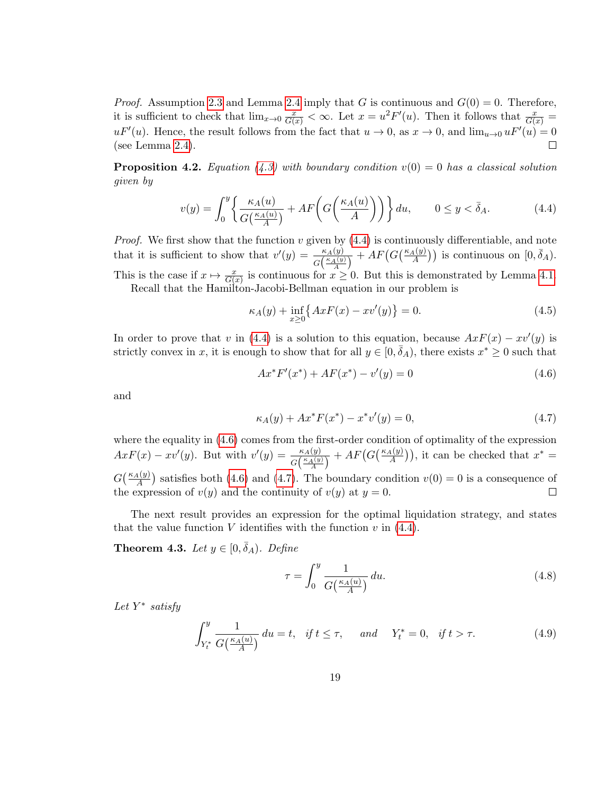*Proof.* Assumption [2.3](#page-4-0) and Lemma [2.4](#page-5-1) imply that G is continuous and  $G(0) = 0$ . Therefore, it is sufficient to check that  $\lim_{x\to 0} \frac{x}{G(x)} < \infty$ . Let  $x = u^2 F'(u)$ . Then it follows that  $\frac{x}{G(x)} =$  $uF'(u)$ . Hence, the result follows from the fact that  $u \to 0$ , as  $x \to 0$ , and  $\lim_{u \to 0} uF'(u) = 0$ (see Lemma [2.4\)](#page-5-1).  $\Box$ 

<span id="page-18-1"></span>**Proposition 4.2.** Equation [\(4.3\)](#page-17-0) with boundary condition  $v(0) = 0$  has a classical solution given by

$$
v(y) = \int_0^y \left\{ \frac{\kappa_A(u)}{G\left(\frac{\kappa_A(u)}{A}\right)} + AF\left(G\left(\frac{\kappa_A(u)}{A}\right)\right) \right\} du, \qquad 0 \le y < \bar{\delta}_A. \tag{4.4}
$$

*Proof.* We first show that the function v given by  $(4.4)$  is continuously differentiable, and note that it is sufficient to show that  $v'(y) = \frac{\kappa_A(y)}{G\left(\frac{\kappa_A(y)}{A}\right)} + AF\left(G\left(\frac{\kappa_A(y)}{A}\right)\right)$  is continuous on  $[0, \bar{\delta}_A)$ . This is the case if  $x \mapsto \frac{x}{G(x)}$  is continuous for  $x \ge 0$ . But this is demonstrated by Lemma [4.1.](#page-17-1)

Recall that the Hamilton-Jacobi-Bellman equation in our problem is

<span id="page-18-2"></span>
$$
\kappa_A(y) + \inf_{x \ge 0} \{ AxF(x) - xv'(y) \} = 0.
$$
\n(4.5)

In order to prove that v in [\(4.4\)](#page-18-2) is a solution to this equation, because  $AxF(x) - xv'(y)$  is strictly convex in x, it is enough to show that for all  $y \in [0, \bar{\delta}_A)$ , there exists  $x^* \geq 0$  such that

<span id="page-18-3"></span>
$$
Ax^*F'(x^*) + AF(x^*) - v'(y) = 0
$$
\n(4.6)

and

<span id="page-18-4"></span>
$$
\kappa_A(y) + Ax^* F(x^*) - x^* v'(y) = 0,
$$
\n(4.7)

where the equality in [\(4.6\)](#page-18-3) comes from the first-order condition of optimality of the expression  $AxF(x) - xv'(y)$ . But with  $v'(y) = \frac{\kappa_A(y)}{G(\frac{\kappa_A(y)}{A})} + AF(G(\frac{\kappa_A(y)}{A}))$ , it can be checked that  $x^* =$  $G(\frac{\kappa_A(y)}{A})$  satisfies both [\(4.6\)](#page-18-3) and [\(4.7\)](#page-18-4). The boundary condition  $v(0) = 0$  is a consequence of the expression of  $v(y)$  and the continuity of  $v(y)$  at  $y = 0$ .  $\Box$ 

The next result provides an expression for the optimal liquidation strategy, and states that the value function V identifies with the function  $v$  in  $(4.4)$ .

<span id="page-18-0"></span>**Theorem 4.3.** Let  $y \in [0, \bar{\delta}_A)$ . Define

<span id="page-18-6"></span><span id="page-18-5"></span>
$$
\tau = \int_0^y \frac{1}{G\left(\frac{\kappa_A(u)}{A}\right)} \, du. \tag{4.8}
$$

Let  $Y^*$  satisfy

$$
\int_{Y_t^*}^y \frac{1}{G\left(\frac{\kappa_A(u)}{A}\right)} du = t, \quad \text{if } t \le \tau, \quad \text{and} \quad Y_t^* = 0, \quad \text{if } t > \tau. \tag{4.9}
$$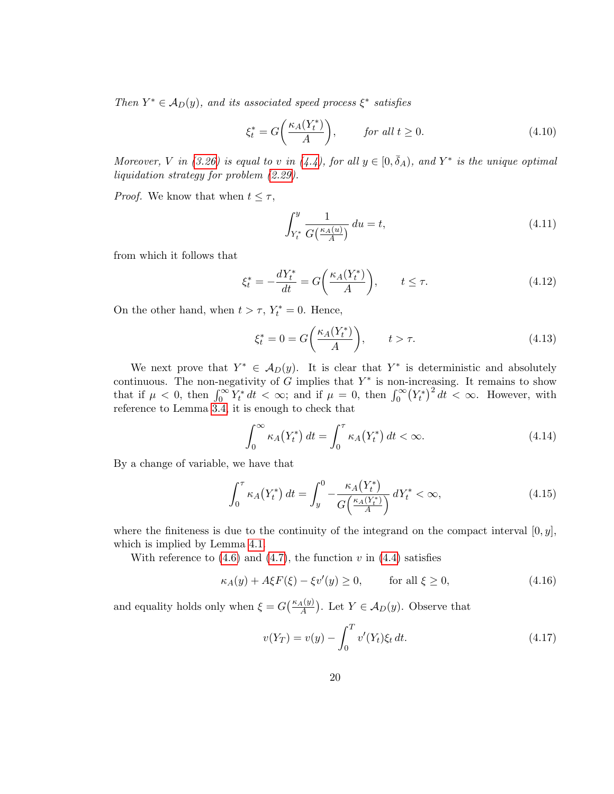Then  $Y^* \in \mathcal{A}_D(y)$ , and its associated speed process  $\xi^*$  satisfies

$$
\xi_t^* = G\bigg(\frac{\kappa_A(Y_t^*)}{A}\bigg), \qquad \text{for all } t \ge 0. \tag{4.10}
$$

Moreover, V in [\(3.26\)](#page-15-2) is equal to v in [\(4.4\)](#page-18-2), for all  $y \in [0, \bar{\delta}_A)$ , and Y<sup>\*</sup> is the unique optimal liquidation strategy for problem [\(2.29\)](#page-8-1).

*Proof.* We know that when  $t \leq \tau$ ,

<span id="page-19-1"></span>
$$
\int_{Y_t^*}^y \frac{1}{G\left(\frac{\kappa_A(u)}{A}\right)} du = t,\tag{4.11}
$$

from which it follows that

$$
\xi_t^* = -\frac{dY_t^*}{dt} = G\bigg(\frac{\kappa_A(Y_t^*)}{A}\bigg), \qquad t \le \tau. \tag{4.12}
$$

On the other hand, when  $t > \tau$ ,  $Y_t^* = 0$ . Hence,

$$
\xi_t^* = 0 = G\bigg(\frac{\kappa_A(Y_t^*)}{A}\bigg), \qquad t > \tau. \tag{4.13}
$$

We next prove that  $Y^* \in \mathcal{A}_D(y)$ . It is clear that  $Y^*$  is deterministic and absolutely continuous. The non-negativity of  $G$  implies that  $Y^*$  is non-increasing. It remains to show that if  $\mu < 0$ , then  $\int_0^\infty Y_t^* dt < \infty$ ; and if  $\mu = 0$ , then  $\int_0^\infty (Y_t^*)^2 dt < \infty$ . However, with reference to Lemma [3.4,](#page-11-1) it is enough to check that

$$
\int_0^\infty \kappa_A(Y_t^*) dt = \int_0^\tau \kappa_A(Y_t^*) dt < \infty.
$$
\n(4.14)

By a change of variable, we have that

$$
\int_0^\tau \kappa_A(Y_t^*) dt = \int_y^0 -\frac{\kappa_A(Y_t^*)}{G\left(\frac{\kappa_A(Y_t^*)}{A}\right)} dY_t^* < \infty,
$$
\n(4.15)

where the finiteness is due to the continuity of the integrand on the compact interval  $[0, y]$ , which is implied by Lemma [4.1.](#page-17-1)

With reference to  $(4.6)$  and  $(4.7)$ , the function v in  $(4.4)$  satisfies

$$
\kappa_A(y) + A\xi F(\xi) - \xi v'(y) \ge 0, \qquad \text{for all } \xi \ge 0,
$$
\n(4.16)

and equality holds only when  $\xi = G\left(\frac{\kappa_A(y)}{A}\right)$ . Let  $Y \in \mathcal{A}_D(y)$ . Observe that

<span id="page-19-0"></span>
$$
v(Y_T) = v(y) - \int_0^T v'(Y_t)\xi_t dt.
$$
\n(4.17)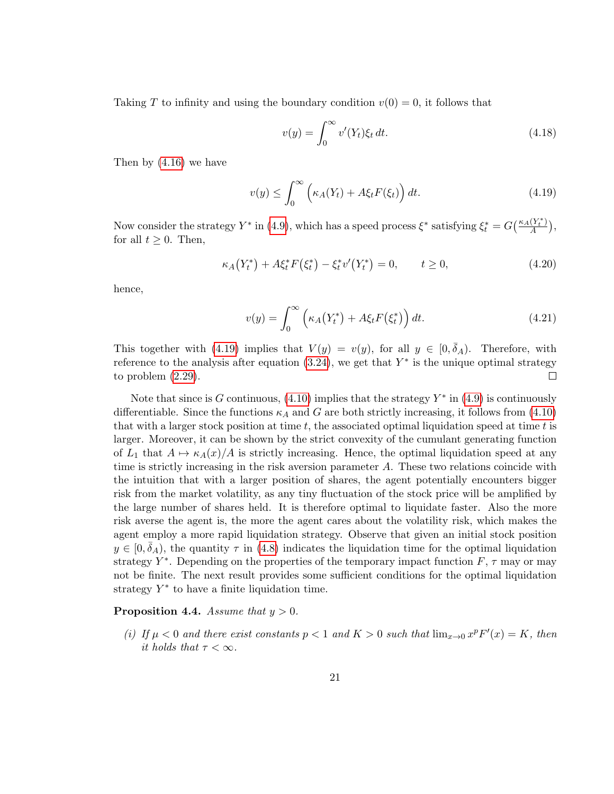Taking T to infinity and using the boundary condition  $v(0) = 0$ , it follows that

<span id="page-20-0"></span>
$$
v(y) = \int_0^\infty v'(Y_t)\xi_t dt.
$$
\n(4.18)

Then by [\(4.16\)](#page-19-0) we have

$$
v(y) \le \int_0^\infty \left(\kappa_A(Y_t) + A\xi_t F(\xi_t)\right) dt. \tag{4.19}
$$

Now consider the strategy  $Y^*$  in [\(4.9\)](#page-18-5), which has a speed process  $\xi^*$  satisfying  $\xi_t^* = G\left(\frac{\kappa_A(Y_t^*)}{A}\right)$  $\frac{(Y_t^{\lceil})}{A},$ for all  $t \geq 0$ . Then,

$$
\kappa_A(Y_t^*) + A\xi_t^* F(\xi_t^*) - \xi_t^* v'(Y_t^*) = 0, \qquad t \ge 0,
$$
\n(4.20)

hence,

$$
v(y) = \int_0^\infty \left( \kappa_A \left( Y_t^* \right) + A \xi_t F \left( \xi_t^* \right) \right) dt. \tag{4.21}
$$

This together with [\(4.19\)](#page-20-0) implies that  $V(y) = v(y)$ , for all  $y \in [0, \bar{\delta}_A)$ . Therefore, with reference to the analysis after equation  $(3.24)$ , we get that  $Y^*$  is the unique optimal strategy to problem [\(2.29\)](#page-8-1).  $\Box$ 

Note that since is G continuous,  $(4.10)$  implies that the strategy  $Y^*$  in  $(4.9)$  is continuously differentiable. Since the functions  $\kappa_A$  and G are both strictly increasing, it follows from [\(4.10\)](#page-19-1) that with a larger stock position at time  $t$ , the associated optimal liquidation speed at time  $t$  is larger. Moreover, it can be shown by the strict convexity of the cumulant generating function of  $L_1$  that  $A \mapsto \kappa_A(x)/A$  is strictly increasing. Hence, the optimal liquidation speed at any time is strictly increasing in the risk aversion parameter  $A$ . These two relations coincide with the intuition that with a larger position of shares, the agent potentially encounters bigger risk from the market volatility, as any tiny fluctuation of the stock price will be amplified by the large number of shares held. It is therefore optimal to liquidate faster. Also the more risk averse the agent is, the more the agent cares about the volatility risk, which makes the agent employ a more rapid liquidation strategy. Observe that given an initial stock position  $y \in [0, \bar{\delta}_A)$ , the quantity  $\tau$  in [\(4.8\)](#page-18-6) indicates the liquidation time for the optimal liquidation strategy  $Y^*$ . Depending on the properties of the temporary impact function  $F$ ,  $\tau$  may or may not be finite. The next result provides some sufficient conditions for the optimal liquidation strategy  $Y^*$  to have a finite liquidation time.

#### <span id="page-20-1"></span>**Proposition 4.4.** Assume that  $y > 0$ .

(i) If  $\mu < 0$  and there exist constants  $p < 1$  and  $K > 0$  such that  $\lim_{x\to 0} x^p F'(x) = K$ , then it holds that  $\tau < \infty$ .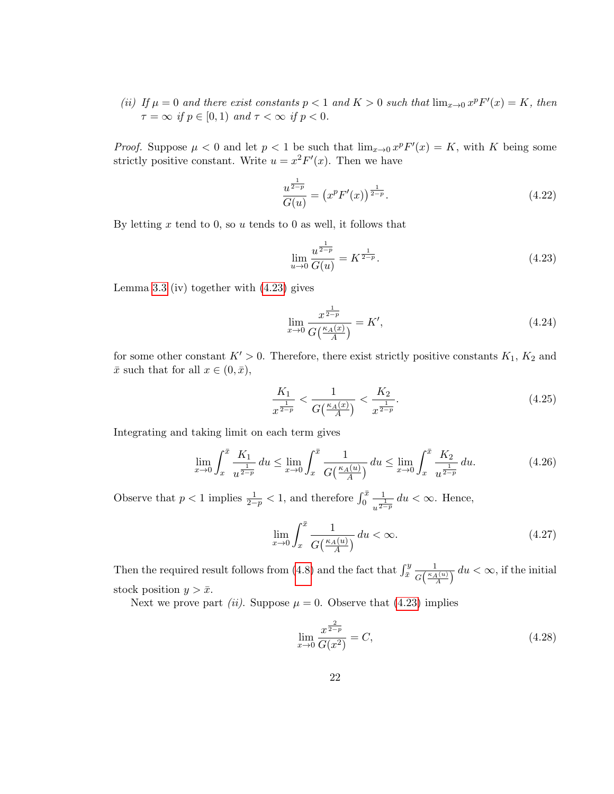(ii) If  $\mu = 0$  and there exist constants  $p < 1$  and  $K > 0$  such that  $\lim_{x \to 0} x^p F'(x) = K$ , then  $\tau = \infty$  if  $p \in [0, 1)$  and  $\tau < \infty$  if  $p < 0$ .

*Proof.* Suppose  $\mu < 0$  and let  $p < 1$  be such that  $\lim_{x\to 0} x^p F'(x) = K$ , with K being some strictly positive constant. Write  $u = x^2 F'(x)$ . Then we have

$$
\frac{u^{\frac{1}{2-p}}}{G(u)} = \left(x^p F'(x)\right)^{\frac{1}{2-p}}.\tag{4.22}
$$

By letting x tend to 0, so u tends to 0 as well, it follows that

<span id="page-21-0"></span>
$$
\lim_{u \to 0} \frac{u^{\frac{1}{2-p}}}{G(u)} = K^{\frac{1}{2-p}}.
$$
\n(4.23)

Lemma [3.3](#page-10-2) (iv) together with [\(4.23\)](#page-21-0) gives

$$
\lim_{x \to 0} \frac{x^{\frac{1}{2-p}}}{G(\frac{\kappa_A(x)}{A})} = K',
$$
\n(4.24)

for some other constant  $K' > 0$ . Therefore, there exist strictly positive constants  $K_1, K_2$  and  $\bar{x}$  such that for all  $x \in (0, \bar{x}),$ 

$$
\frac{K_1}{x^{\frac{1}{2-p}}} < \frac{1}{G\left(\frac{\kappa_A(x)}{A}\right)} < \frac{K_2}{x^{\frac{1}{2-p}}}.\tag{4.25}
$$

Integrating and taking limit on each term gives

$$
\lim_{x \to 0} \int_{x}^{\bar{x}} \frac{K_1}{u^{\frac{1}{2-p}}} du \le \lim_{x \to 0} \int_{x}^{\bar{x}} \frac{1}{G\left(\frac{\kappa_A(u)}{A}\right)} du \le \lim_{x \to 0} \int_{x}^{\bar{x}} \frac{K_2}{u^{\frac{1}{2-p}}} du. \tag{4.26}
$$

Observe that  $p < 1$  implies  $\frac{1}{2-p} < 1$ , and therefore  $\int_0^{\bar{x}}$ 1  $\frac{1}{u^{\frac{1}{2-p}}}du < \infty$ . Hence,

$$
\lim_{x \to 0} \int_{x}^{\bar{x}} \frac{1}{G\left(\frac{\kappa_A(u)}{A}\right)} du < \infty. \tag{4.27}
$$

Then the required result follows from [\(4.8\)](#page-18-6) and the fact that  $\int_{\bar{x}}^{y}$ 1  $\frac{1}{G\left(\frac{\kappa_A(u)}{A}\right)} du < \infty$ , if the initial stock position  $y > \bar{x}$ .

Next we prove part *(ii)*. Suppose  $\mu = 0$ . Observe that [\(4.23\)](#page-21-0) implies

$$
\lim_{x \to 0} \frac{x^{\frac{2}{2-p}}}{G(x^2)} = C,\tag{4.28}
$$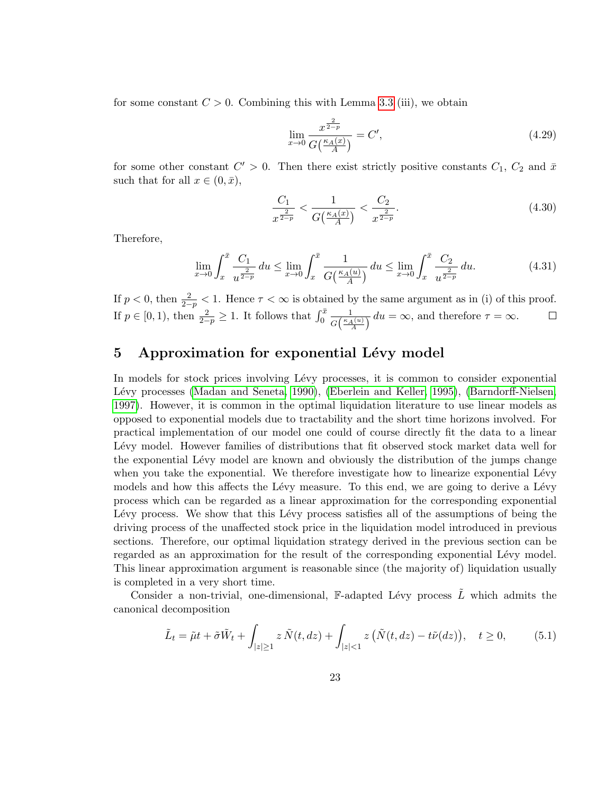for some constant  $C > 0$ . Combining this with Lemma [3.3](#page-10-2) (iii), we obtain

$$
\lim_{x \to 0} \frac{x^{\frac{2}{2-p}}}{G(\frac{\kappa_A(x)}{A})} = C',
$$
\n(4.29)

for some other constant  $C' > 0$ . Then there exist strictly positive constants  $C_1$ ,  $C_2$  and  $\bar{x}$ such that for all  $x \in (0, \bar{x}),$ 

$$
\frac{C_1}{x^{\frac{2}{2-p}}} < \frac{1}{G\left(\frac{\kappa_A(x)}{A}\right)} < \frac{C_2}{x^{\frac{2}{2-p}}}.\tag{4.30}
$$

Therefore,

$$
\lim_{x \to 0} \int_{x}^{\bar{x}} \frac{C_1}{u^{\frac{2}{2-p}}} du \le \lim_{x \to 0} \int_{x}^{\bar{x}} \frac{1}{G\left(\frac{\kappa_A(u)}{A}\right)} du \le \lim_{x \to 0} \int_{x}^{\bar{x}} \frac{C_2}{u^{\frac{2}{2-p}}} du. \tag{4.31}
$$

If  $p < 0$ , then  $\frac{2}{2-p} < 1$ . Hence  $\tau < \infty$  is obtained by the same argument as in (i) of this proof. If  $p \in [0, 1)$ , then  $\frac{2}{2-p} \geq 1$ . It follows that  $\int_0^{\bar{x}}$ 1  $\frac{1}{G\left(\frac{\kappa_A(u)}{A}\right)} du = \infty$ , and therefore  $\tau = \infty$ .

# 5 Approximation for exponential Lévy model

In models for stock prices involving Lévy processes, it is common to consider exponential Lévy processes [\(Madan and Seneta, 1990\)](#page-35-0), [\(Eberlein and Keller, 1995\)](#page-34-0), [\(Barndorff-Nielsen,](#page-34-1) [1997\)](#page-34-1). However, it is common in the optimal liquidation literature to use linear models as opposed to exponential models due to tractability and the short time horizons involved. For practical implementation of our model one could of course directly fit the data to a linear Lévy model. However families of distributions that fit observed stock market data well for the exponential Lévy model are known and obviously the distribution of the jumps change when you take the exponential. We therefore investigate how to linearize exponential Lévy models and how this affects the Lévy measure. To this end, we are going to derive a Lévy process which can be regarded as a linear approximation for the corresponding exponential Lévy process. We show that this Lévy process satisfies all of the assumptions of being the driving process of the unaffected stock price in the liquidation model introduced in previous sections. Therefore, our optimal liquidation strategy derived in the previous section can be regarded as an approximation for the result of the corresponding exponential Lévy model. This linear approximation argument is reasonable since (the majority of) liquidation usually is completed in a very short time.

Consider a non-trivial, one-dimensional, F-adapted Lévy process  $\tilde{L}$  which admits the canonical decomposition

<span id="page-22-0"></span>
$$
\tilde{L}_t = \tilde{\mu}t + \tilde{\sigma}\tilde{W}_t + \int_{|z| \ge 1} z \tilde{N}(t, dz) + \int_{|z| < 1} z \left( \tilde{N}(t, dz) - t\tilde{\nu}(dz) \right), \quad t \ge 0,\tag{5.1}
$$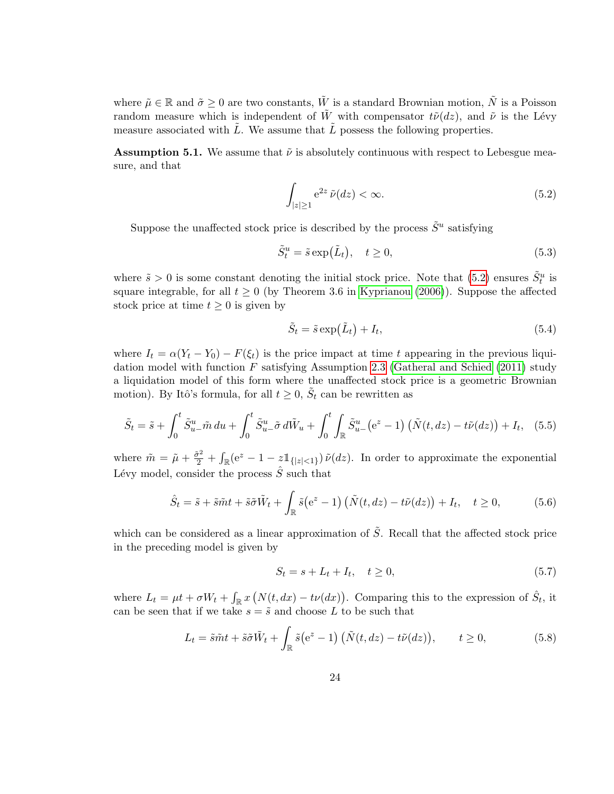where  $\tilde{\mu} \in \mathbb{R}$  and  $\tilde{\sigma} > 0$  are two constants,  $\tilde{W}$  is a standard Brownian motion,  $\tilde{N}$  is a Poisson random measure which is independent of  $\tilde{W}$  with compensator  $t\tilde{\nu}(dz)$ , and  $\tilde{\nu}$  is the Lévy measure associated with  $\tilde{L}$ . We assume that  $\tilde{L}$  possess the following properties.

<span id="page-23-2"></span>**Assumption 5.1.** We assume that  $\tilde{\nu}$  is absolutely continuous with respect to Lebesgue measure, and that

<span id="page-23-0"></span>
$$
\int_{|z|\geq 1} e^{2z} \tilde{\nu}(dz) < \infty. \tag{5.2}
$$

Suppose the unaffected stock price is described by the process  $\tilde{S}^u$  satisfying

$$
\tilde{S}_t^u = \tilde{s} \exp(\tilde{L}_t), \quad t \ge 0,
$$
\n(5.3)

where  $\tilde{s} > 0$  is some constant denoting the initial stock price. Note that [\(5.2\)](#page-23-0) ensures  $\tilde{S}_t^u$  is square integrable, for all  $t \ge 0$  (by Theorem 3.6 in [Kyprianou \(2006\)](#page-35-9)). Suppose the affected stock price at time  $t \geq 0$  is given by

$$
\tilde{S}_t = \tilde{s} \exp(\tilde{L}_t) + I_t,\tag{5.4}
$$

where  $I_t = \alpha(Y_t - Y_0) - F(\xi_t)$  is the price impact at time t appearing in the previous liquidation model with function  $F$  satisfying Assumption [2.3](#page-4-0) [\(Gatheral and Schied \(2011\)](#page-35-6) study a liquidation model of this form where the unaffected stock price is a geometric Brownian motion). By Itô's formula, for all  $t \geq 0$ ,  $\tilde{S}_t$  can be rewritten as

$$
\tilde{S}_t = \tilde{s} + \int_0^t \tilde{S}_{u-}^u \tilde{m} \, du + \int_0^t \tilde{S}_{u-}^u \tilde{\sigma} \, d\tilde{W}_u + \int_0^t \int_{\mathbb{R}} \tilde{S}_{u-}^u \left(e^z - 1\right) \left(\tilde{N}(t, dz) - t\tilde{\nu}(dz)\right) + I_t, \tag{5.5}
$$

where  $\tilde{m} = \tilde{\mu} + \frac{\tilde{\sigma}^2}{2} + \int_{\mathbb{R}} (e^z - 1 - z \mathbb{1}_{\{|z| < 1\}}) \tilde{\nu}(dz)$ . In order to approximate the exponential Lévy model, consider the process  $\hat{S}$  such that

$$
\hat{S}_t = \tilde{s} + \tilde{s}\tilde{m}t + \tilde{s}\tilde{\sigma}\tilde{W}_t + \int_{\mathbb{R}} \tilde{s}(e^z - 1) \left( \tilde{N}(t, dz) - t\tilde{\nu}(dz) \right) + I_t, \quad t \ge 0,
$$
\n(5.6)

which can be considered as a linear approximation of  $\tilde{S}$ . Recall that the affected stock price in the preceding model is given by

<span id="page-23-1"></span>
$$
S_t = s + L_t + I_t, \quad t \ge 0,\tag{5.7}
$$

where  $L_t = \mu t + \sigma W_t + \int_{\mathbb{R}} x \left( N(t, dx) - t \nu(dx) \right)$ . Comparing this to the expression of  $\hat{S}_t$ , it can be seen that if we take  $s = \tilde{s}$  and choose L to be such that

$$
L_t = \tilde{s}\tilde{m}t + \tilde{s}\tilde{\sigma}\tilde{W}_t + \int_{\mathbb{R}} \tilde{s}(e^z - 1) \left( \tilde{N}(t, dz) - t\tilde{\nu}(dz) \right), \qquad t \ge 0,
$$
\n(5.8)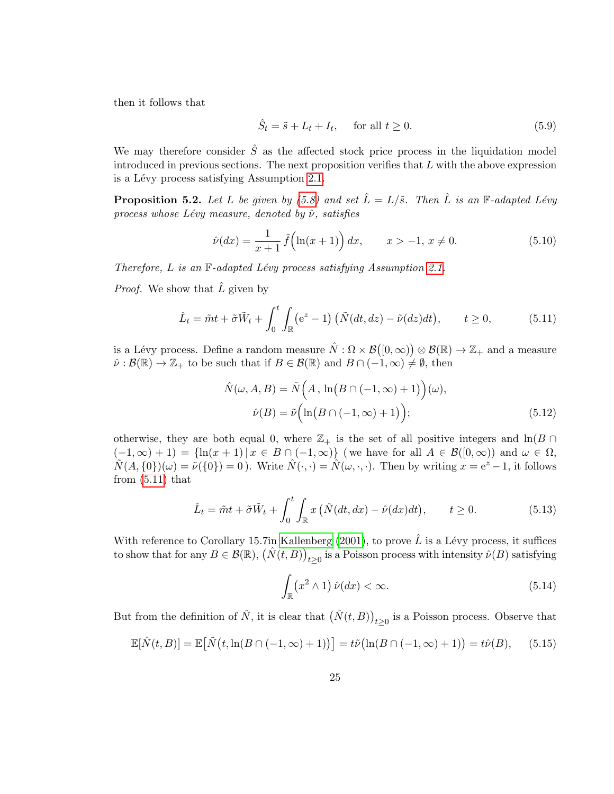then it follows that

$$
\hat{S}_t = \tilde{s} + L_t + I_t, \quad \text{for all } t \ge 0.
$$
\n
$$
(5.9)
$$

We may therefore consider  $\hat{S}$  as the affected stock price process in the liquidation model introduced in previous sections. The next proposition verifies that  $L$  with the above expression is a Lévy process satisfying Assumption [2.1.](#page-3-0)

<span id="page-24-3"></span>**Proposition 5.2.** Let L be given by [\(5.8\)](#page-23-1) and set  $\hat{L} = L/\tilde{s}$ . Then  $\hat{L}$  is an F-adapted Lévy process whose Lévy measure, denoted by  $\hat{\nu}$ , satisfies

$$
\hat{\nu}(dx) = \frac{1}{x+1} \tilde{f}\left(\ln(x+1)\right) dx, \qquad x > -1, \, x \neq 0. \tag{5.10}
$$

Therefore,  $L$  is an  $\mathbb{F}\text{-}adapted Lévy process satisfying Assumption 2.1.$  $\mathbb{F}\text{-}adapted Lévy process satisfying Assumption 2.1.$ 

*Proof.* We show that  $\hat{L}$  given by

$$
\hat{L}_t = \tilde{m}t + \tilde{\sigma}\tilde{W}_t + \int_0^t \int_{\mathbb{R}} \left(e^z - 1\right) \left(\tilde{N}(dt, dz) - \tilde{\nu}(dz)dt\right), \qquad t \ge 0,
$$
\n(5.11)

is a Lévy process. Define a random measure  $\hat{N} : \Omega \times \mathcal{B}([0,\infty)) \otimes \mathcal{B}(\mathbb{R}) \to \mathbb{Z}_+$  and a measure  $\hat{\nu}: \mathcal{B}(\mathbb{R}) \to \mathbb{Z}_+$  to be such that if  $B \in \mathcal{B}(\mathbb{R})$  and  $B \cap (-1, \infty) \neq \emptyset$ , then

<span id="page-24-0"></span>
$$
\hat{N}(\omega, A, B) = \tilde{N}\left(A, \ln(B \cap (-1, \infty) + 1)\right)(\omega),
$$
  

$$
\hat{\nu}(B) = \tilde{\nu}\left(\ln(B \cap (-1, \infty) + 1)\right);
$$
\n(5.12)

otherwise, they are both equal 0, where  $\mathbb{Z}_+$  is the set of all positive integers and  $\ln(B \cap$  $(-1,\infty)+1$  =  $\{\ln(x+1) | x \in B \cap (-1,\infty)\}$  (we have for all  $A \in \mathcal{B}([0,\infty))$  and  $\omega \in \Omega$ ,  $\widetilde{N}(A, \{0\})(\omega) = \widetilde{\nu}(\{0\}) = 0$ . Write  $\widehat{N}(\cdot, \cdot) = \widehat{N}(\omega, \cdot, \cdot)$ . Then by writing  $x = e^z - 1$ , it follows from  $(5.11)$  that

$$
\hat{L}_t = \tilde{m}t + \tilde{\sigma}\tilde{W}_t + \int_0^t \int_{\mathbb{R}} x\left(\hat{N}(dt, dx) - \hat{\nu}(dx)dt\right), \qquad t \ge 0.
$$
\n(5.13)

With reference to Corollary 15.7in [Kallenberg \(2001\)](#page-35-12), to prove  $\hat{L}$  is a Lévy process, it suffices to show that for any  $B \in \mathcal{B}(\mathbb{R})$ ,  $(\hat{N}(t, B))_{t \geq 0}$  is a Poisson process with intensity  $\hat{\nu}(B)$  satisfying

<span id="page-24-2"></span><span id="page-24-1"></span>
$$
\int_{\mathbb{R}} (x^2 \wedge 1) \,\hat{\nu}(dx) < \infty. \tag{5.14}
$$

But from the definition of  $\hat{N}$ , it is clear that  $(\hat{N}(t, B))_{t \geq 0}$  is a Poisson process. Observe that

$$
\mathbb{E}[\hat{N}(t,B)] = \mathbb{E}\big[\tilde{N}(t,\ln(B\cap(-1,\infty)+1))\big] = t\tilde{\nu}\big(\ln(B\cap(-1,\infty)+1)\big) = t\hat{\nu}(B),\qquad(5.15)
$$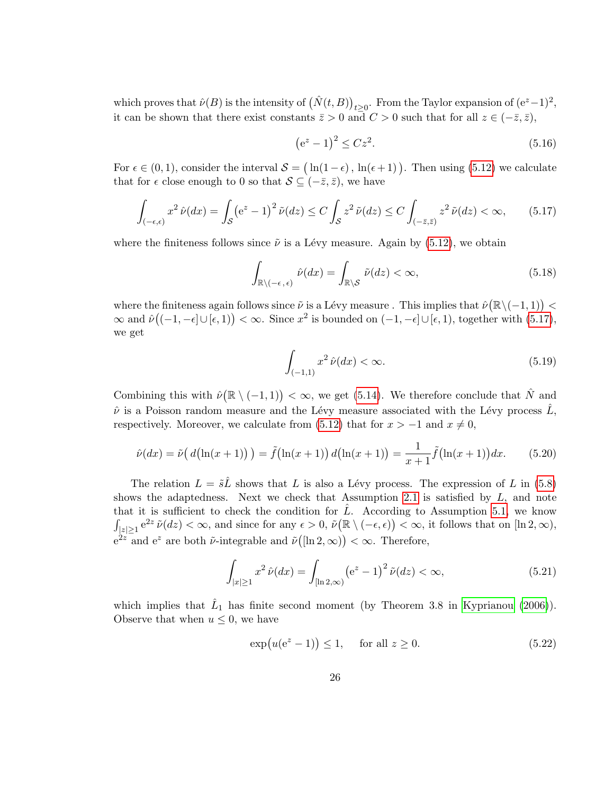which proves that  $\hat{\nu}(B)$  is the intensity of  $(\hat{N}(t, B))_{t \geq 0}$ . From the Taylor expansion of  $(e^{z}-1)^{2}$ , it can be shown that there exist constants  $\bar{z} > 0$  and  $C > 0$  such that for all  $z \in (-\bar{z}, \bar{z}),$ 

<span id="page-25-0"></span>
$$
(e^z - 1)^2 \le Cz^2.
$$
 (5.16)

For  $\epsilon \in (0,1)$ , consider the interval  $\mathcal{S} = (\ln(1-\epsilon), \ln(\epsilon+1))$ . Then using [\(5.12\)](#page-24-1) we calculate that for  $\epsilon$  close enough to 0 so that  $\mathcal{S} \subseteq (-\bar{z}, \bar{z})$ , we have

$$
\int_{(-\epsilon,\epsilon)} x^2 \,\hat{\nu}(dx) = \int_{\mathcal{S}} \left(e^z - 1\right)^2 \tilde{\nu}(dz) \le C \int_{\mathcal{S}} z^2 \,\tilde{\nu}(dz) \le C \int_{(-\bar{z},\bar{z})} z^2 \,\tilde{\nu}(dz) < \infty,\tag{5.17}
$$

where the finiteness follows since  $\tilde{\nu}$  is a Lévy measure. Again by [\(5.12\)](#page-24-1), we obtain

$$
\int_{\mathbb{R}\setminus(-\epsilon,\epsilon)}\hat{\nu}(dx) = \int_{\mathbb{R}\setminus\mathcal{S}}\tilde{\nu}(dz) < \infty,\tag{5.18}
$$

where the finiteness again follows since  $\tilde{\nu}$  is a Lévy measure . This implies that  $\hat{\nu}(\mathbb{R}\setminus(-1,1))$  <  $\infty$  and  $\hat{\nu}((-1,-\epsilon)\cup [\epsilon,1)) < \infty$ . Since  $x^2$  is bounded on  $(-1,-\epsilon)\cup [\epsilon,1)$ , together with  $(5.17)$ , we get

$$
\int_{(-1,1)} x^2 \,\hat{\nu}(dx) < \infty. \tag{5.19}
$$

Combining this with  $\hat{\nu}(\mathbb{R} \setminus (-1,1)) < \infty$ , we get [\(5.14\)](#page-24-2). We therefore conclude that  $\hat{N}$  and  $\hat{\nu}$  is a Poisson random measure and the Lévy measure associated with the Lévy process  $\hat{L}$ , respectively. Moreover, we calculate from [\(5.12\)](#page-24-1) that for  $x > -1$  and  $x \neq 0$ ,

$$
\hat{\nu}(dx) = \tilde{\nu}\big(\,d\big(\ln(x+1)\big)\,\big) = \tilde{f}\big(\ln(x+1)\big)\,d\big(\ln(x+1)\big) = \frac{1}{x+1}\tilde{f}\big(\ln(x+1)\big)dx.\tag{5.20}
$$

The relation  $L = \tilde{s}\tilde{L}$  shows that L is also a Lévy process. The expression of L in [\(5.8\)](#page-23-1) shows the adaptedness. Next we check that Assumption [2.1](#page-3-0) is satisfied by  $L$ , and note that it is sufficient to check the condition for  $\hat{L}$ . According to Assumption [5.1,](#page-23-2) we know  $\int_{|z|\geq 1} e^{2z} \tilde{\nu}(dz) < \infty$ , and since for any  $\epsilon > 0$ ,  $\tilde{\nu}(\mathbb{R} \setminus (-\epsilon, \epsilon)) < \infty$ , it follows that on  $[\ln 2, \infty)$ ,  $e^{2z}$  and  $e^z$  are both  $\tilde{\nu}$ -integrable and  $\tilde{\nu}([ln 2,\infty)) < \infty$ . Therefore,

$$
\int_{|x| \ge 1} x^2 \,\hat{\nu}(dx) = \int_{[\ln 2, \infty)} \left(e^z - 1\right)^2 \tilde{\nu}(dz) < \infty,\tag{5.21}
$$

which implies that  $\hat{L}_1$  has finite second moment (by Theorem 3.8 in [Kyprianou \(2006\)](#page-35-9)). Observe that when  $u \leq 0$ , we have

$$
\exp(u(e^z - 1)) \le 1, \quad \text{for all } z \ge 0. \tag{5.22}
$$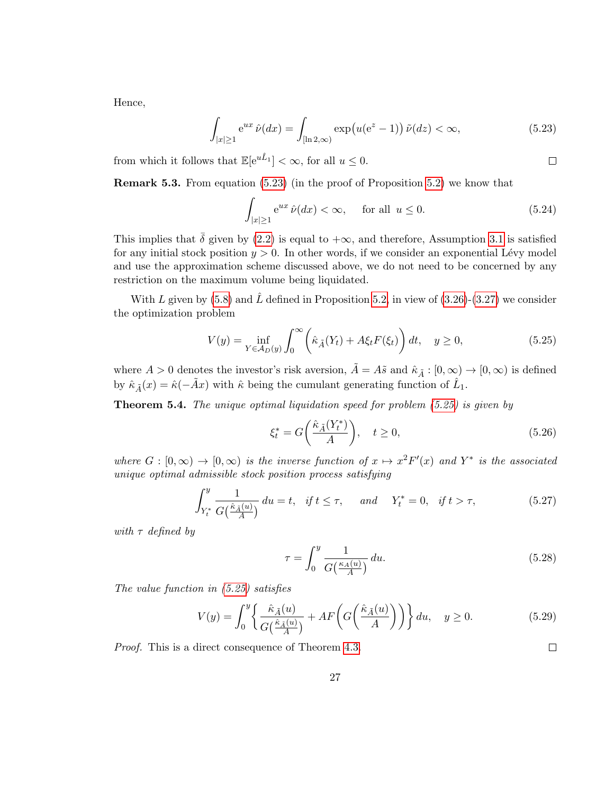Hence,

$$
\int_{|x|\geq 1} e^{ux}\,\hat{\nu}(dx) = \int_{[\ln 2,\infty)} \exp\big(u(e^z - 1)\big)\,\tilde{\nu}(dz) < \infty,\tag{5.23}
$$

from which it follows that  $\mathbb{E}[e^{u\hat{L}_1}] < \infty$ , for all  $u \leq 0$ .

Remark 5.3. From equation [\(5.23\)](#page-26-0) (in the proof of Proposition [5.2\)](#page-24-3) we know that

$$
\int_{|x|\geq 1} e^{ux} \hat{\nu}(dx) < \infty, \quad \text{for all } u \leq 0. \tag{5.24}
$$

This implies that  $\bar{\delta}$  given by [\(2.2\)](#page-3-3) is equal to + $\infty$ , and therefore, Assumption [3.1](#page-10-0) is satisfied for any initial stock position  $y > 0$ . In other words, if we consider an exponential Lévy model and use the approximation scheme discussed above, we do not need to be concerned by any restriction on the maximum volume being liquidated.

With L given by [\(5.8\)](#page-23-1) and  $\tilde{L}$  defined in Proposition [5.2,](#page-24-3) in view of [\(3.26\)](#page-15-2)-[\(3.27\)](#page-15-0) we consider the optimization problem

$$
V(y) = \inf_{Y \in \mathcal{A}_D(y)} \int_0^\infty \left(\hat{\kappa}_{\tilde{A}}(Y_t) + A\xi_t F(\xi_t)\right) dt, \quad y \ge 0,
$$
\n(5.25)

where  $A > 0$  denotes the investor's risk aversion,  $\tilde{A} = A\tilde{s}$  and  $\hat{\kappa}_{\tilde{A}} : [0, \infty) \to [0, \infty)$  is defined by  $\hat{\kappa}_{\tilde{A}}(x) = \hat{\kappa}(-\tilde{A}x)$  with  $\hat{\kappa}$  being the cumulant generating function of  $\hat{L}_1$ .

**Theorem 5.4.** The unique optimal liquidation speed for problem  $(5.25)$  is given by

$$
\xi_t^* = G\bigg(\frac{\hat{\kappa}_{\tilde{A}}(Y_t^*)}{A}\bigg), \quad t \ge 0,
$$
\n(5.26)

where  $G : [0, \infty) \to [0, \infty)$  is the inverse function of  $x \mapsto x^2 F'(x)$  and  $Y^*$  is the associated unique optimal admissible stock position process satisfying

$$
\int_{Y_t^*}^y \frac{1}{G\left(\frac{\hat{\kappa}_{\tilde{A}}(u)}{A}\right)} du = t, \quad \text{if } t \le \tau, \quad \text{and} \quad Y_t^* = 0, \quad \text{if } t > \tau,
$$
\n
$$
(5.27)
$$

with  $\tau$  defined by

$$
\tau = \int_0^y \frac{1}{G\left(\frac{\kappa_A(u)}{A}\right)} du. \tag{5.28}
$$

The value function in [\(5.25\)](#page-26-1) satisfies

$$
V(y) = \int_0^y \left\{ \frac{\hat{\kappa}_{\tilde{A}}(u)}{G\left(\frac{\hat{\kappa}_{\tilde{A}}(u)}{A}\right)} + AF\left(G\left(\frac{\hat{\kappa}_{\tilde{A}}(u)}{A}\right)\right) \right\} du, \quad y \ge 0.
$$
 (5.29)

Proof. This is a direct consequence of Theorem [4.3.](#page-18-0)

<span id="page-26-2"></span> $\Box$ 

<span id="page-26-1"></span><span id="page-26-0"></span> $\Box$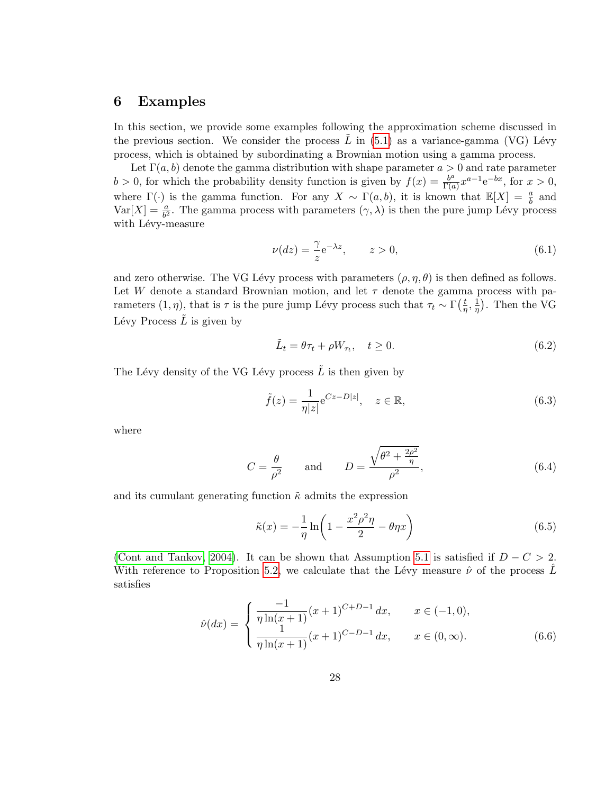### 6 Examples

In this section, we provide some examples following the approximation scheme discussed in the previous section. We consider the process L in  $(5.1)$  as a variance-gamma (VG) Lévy process, which is obtained by subordinating a Brownian motion using a gamma process.

Let  $\Gamma(a, b)$  denote the gamma distribution with shape parameter  $a > 0$  and rate parameter  $b > 0$ , for which the probability density function is given by  $f(x) = \frac{b^a}{\Gamma(a)}$  $\frac{b^a}{\Gamma(a)}x^{a-1}e^{-bx}$ , for  $x>0$ , where  $\Gamma(\cdot)$  is the gamma function. For any  $X \sim \Gamma(a, b)$ , it is known that  $\mathbb{E}[X] = \frac{a}{b}$  and  $\text{Var}[X] = \frac{a}{b^2}$ . The gamma process with parameters  $(\gamma, \lambda)$  is then the pure jump Lévy process with Lévy-measure

$$
\nu(dz) = \frac{\gamma}{z} e^{-\lambda z}, \qquad z > 0,
$$
\n(6.1)

and zero otherwise. The VG Lévy process with parameters  $(\rho, \eta, \theta)$  is then defined as follows. Let W denote a standard Brownian motion, and let  $\tau$  denote the gamma process with parameters  $(1, \eta)$ , that is  $\tau$  is the pure jump Lévy process such that  $\tau_t \sim \Gamma(\frac{t}{n})$  $\frac{t}{\eta}, \frac{1}{\eta}$  $(\frac{1}{\eta})$ . Then the VG Lévy Process  $\tilde{L}$  is given by

$$
\tilde{L}_t = \theta \tau_t + \rho W_{\tau_t}, \quad t \ge 0. \tag{6.2}
$$

The Lévy density of the VG Lévy process  $\tilde{L}$  is then given by

$$
\tilde{f}(z) = \frac{1}{\eta |z|} e^{Cz - D|z|}, \quad z \in \mathbb{R},
$$
\n(6.3)

where

$$
C = \frac{\theta}{\rho^2} \quad \text{and} \quad D = \frac{\sqrt{\theta^2 + \frac{2\rho^2}{\eta}}}{\rho^2},\tag{6.4}
$$

and its cumulant generating function  $\tilde{\kappa}$  admits the expression

<span id="page-27-0"></span>
$$
\tilde{\kappa}(x) = -\frac{1}{\eta} \ln \left( 1 - \frac{x^2 \rho^2 \eta}{2} - \theta \eta x \right) \tag{6.5}
$$

[\(Cont and Tankov, 2004\)](#page-34-10). It can be shown that Assumption [5.1](#page-23-2) is satisfied if  $D - C > 2$ . With reference to Proposition [5.2,](#page-24-3) we calculate that the Lévy measure  $\hat{\nu}$  of the process L satisfies

$$
\hat{\nu}(dx) = \begin{cases}\n\frac{-1}{\eta \ln(x+1)} (x+1)^{C+D-1} dx, & x \in (-1,0), \\
\frac{1}{\eta \ln(x+1)} (x+1)^{C-D-1} dx, & x \in (0,\infty).\n\end{cases}
$$
\n(6.6)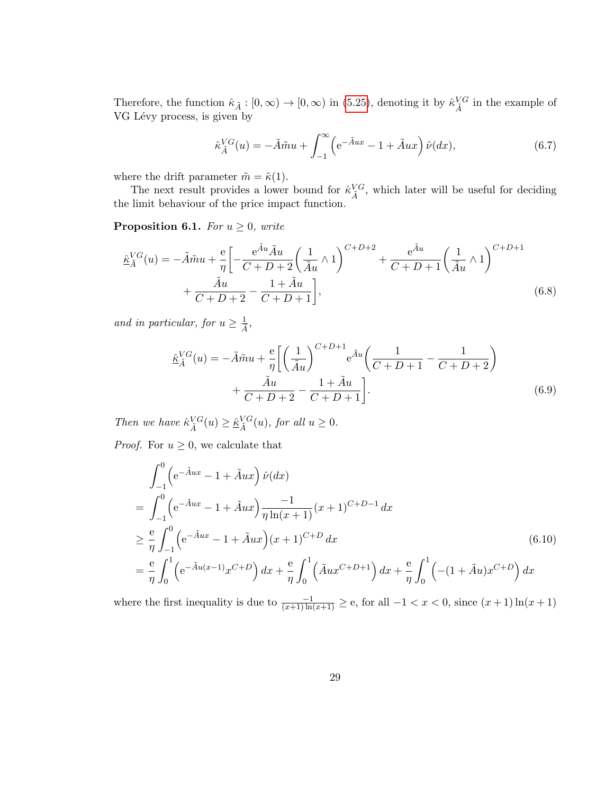Therefore, the function  $\hat{\kappa}_{\tilde{A}} : [0, \infty) \to [0, \infty)$  in [\(5.25\)](#page-26-1), denoting it by  $\hat{\kappa}_{\tilde{A}}^{VG}$  in the example of VG Lévy process, is given by

<span id="page-28-1"></span>
$$
\hat{\kappa}_{\tilde{A}}^{VG}(u) = -\tilde{A}\tilde{m}u + \int_{-1}^{\infty} \left( e^{-\tilde{A}ux} - 1 + \tilde{A}ux \right) \hat{\nu}(dx),\tag{6.7}
$$

where the drift parameter  $\tilde{m} = \tilde{\kappa}(1)$ .

The next result provides a lower bound for  $\hat{\kappa}_{\tilde{A}}^{VG}$ , which later will be useful for deciding the limit behaviour of the price impact function.

<span id="page-28-2"></span>**Proposition 6.1.** For  $u \geq 0$ , write

$$
\hat{\underline{\kappa}}_{\tilde{A}}^{VG}(u) = -\tilde{A}\tilde{m}u + \frac{e}{\eta} \left[ -\frac{e^{\tilde{A}u}\tilde{A}u}{C+D+2} \left( \frac{1}{\tilde{A}u} \wedge 1 \right)^{C+D+2} + \frac{e^{\tilde{A}u}}{C+D+1} \left( \frac{1}{\tilde{A}u} \wedge 1 \right)^{C+D+1} + \frac{\tilde{A}u}{C+D+2} - \frac{1+\tilde{A}u}{C+D+1} \right],
$$
\n(6.8)

and in particular, for  $u \geq \frac{1}{\tilde{A}}$ ,

$$
\underline{\hat{\kappa}}_{\tilde{A}}^{VG}(u) = -\tilde{A}\tilde{m}u + \frac{\mathrm{e}}{\eta} \bigg[ \bigg( \frac{1}{\tilde{A}u} \bigg)^{C+D+1} \mathrm{e}^{\tilde{A}u} \bigg( \frac{1}{C+D+1} - \frac{1}{C+D+2} \bigg) \n+ \frac{\tilde{A}u}{C+D+2} - \frac{1+\tilde{A}u}{C+D+1} \bigg].
$$
\n(6.9)

Then we have  $\hat{\kappa}_{\tilde{A}}^{VG}(u) \geq \hat{\kappa}_{\tilde{A}}^{VG}(u)$ , for all  $u \geq 0$ .

*Proof.* For  $u \geq 0$ , we calculate that

<span id="page-28-0"></span>
$$
\int_{-1}^{0} \left( e^{-\tilde{A}ux} - 1 + \tilde{A}ux \right) \hat{\nu}(dx)
$$
\n
$$
= \int_{-1}^{0} \left( e^{-\tilde{A}ux} - 1 + \tilde{A}ux \right) \frac{-1}{\eta \ln(x+1)} (x+1)^{C+D-1} dx
$$
\n
$$
\geq \frac{e}{\eta} \int_{-1}^{0} \left( e^{-\tilde{A}ux} - 1 + \tilde{A}ux \right) (x+1)^{C+D} dx
$$
\n
$$
= \frac{e}{\eta} \int_{0}^{1} \left( e^{-\tilde{A}u(x-1)} x^{C+D} \right) dx + \frac{e}{\eta} \int_{0}^{1} \left( \tilde{A}ux^{C+D+1} \right) dx + \frac{e}{\eta} \int_{0}^{1} \left( -(1 + \tilde{A}u)x^{C+D} \right) dx
$$
\n(6.10)

where the first inequality is due to  $\frac{-1}{(x+1)\ln(x+1)} \geq e$ , for all  $-1 < x < 0$ , since  $(x+1)\ln(x+1)$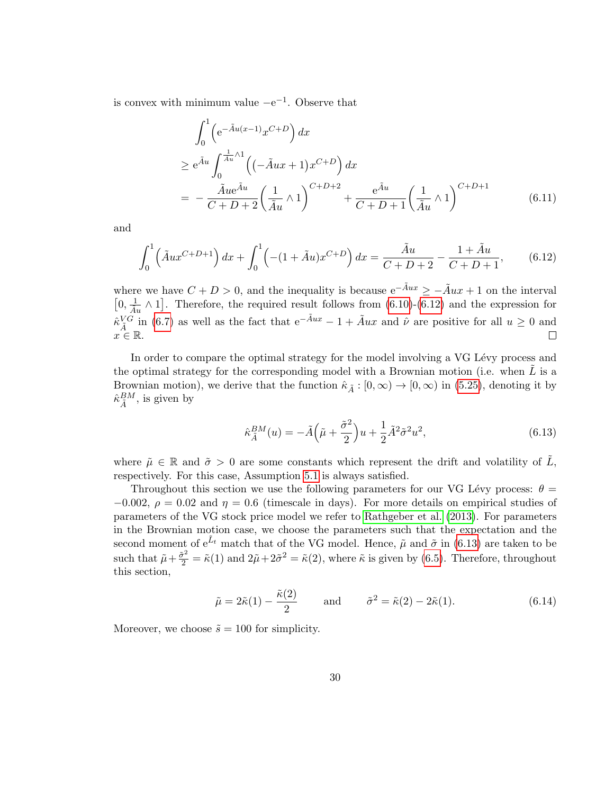is convex with minimum value  $-e^{-1}$ . Observe that

$$
\int_{0}^{1} \left( e^{-\tilde{A}u(x-1)} x^{C+D} \right) dx
$$
\n
$$
\geq e^{\tilde{A}u} \int_{0}^{\frac{1}{\tilde{A}u} \wedge 1} \left( (-\tilde{A}ux + 1) x^{C+D} \right) dx
$$
\n
$$
= -\frac{\tilde{A}ue^{\tilde{A}u}}{C+D+2} \left( \frac{1}{\tilde{A}u} \wedge 1 \right)^{C+D+2} + \frac{e^{\tilde{A}u}}{C+D+1} \left( \frac{1}{\tilde{A}u} \wedge 1 \right)^{C+D+1} \tag{6.11}
$$

and

$$
\int_0^1 \left( \tilde{A}ux^{C+D+1} \right) dx + \int_0^1 \left( -(1 + \tilde{A}u)x^{C+D} \right) dx = \frac{\tilde{A}u}{C+D+2} - \frac{1 + \tilde{A}u}{C+D+1},\tag{6.12}
$$

where we have  $C + D > 0$ , and the inequality is because  $e^{-\tilde{A}ux} \ge -\tilde{A}ux + 1$  on the interval  $[0, \frac{1}{\tilde{A}u} \wedge 1]$ . Therefore, the required result follows from [\(6.10\)](#page-28-0)-[\(6.12\)](#page-29-0) and the expression for  $\hat{\kappa}_{\tilde{A}}^{V\tilde{G}}$  in [\(6.7\)](#page-28-1) as well as the fact that  $e^{-\tilde{A}ux} - 1 + \tilde{A}ux$  and  $\hat{\nu}$  are positive for all  $u \ge 0$  and  $x \in \mathbb{R}$ .

In order to compare the optimal strategy for the model involving a VG Lévy process and the optimal strategy for the corresponding model with a Brownian motion (i.e. when  $L$  is a Brownian motion), we derive that the function  $\hat{\kappa}_{\tilde{A}} : [0, \infty) \to [0, \infty)$  in [\(5.25\)](#page-26-1), denoting it by  $\hat{\kappa}_{\tilde{A}}^{BM}$ , is given by

<span id="page-29-1"></span><span id="page-29-0"></span>
$$
\hat{\kappa}_{\tilde{A}}^{BM}(u) = -\tilde{A}\left(\tilde{\mu} + \frac{\tilde{\sigma}^2}{2}\right)u + \frac{1}{2}\tilde{A}^2\tilde{\sigma}^2u^2,\tag{6.13}
$$

where  $\tilde{\mu} \in \mathbb{R}$  and  $\tilde{\sigma} > 0$  are some constants which represent the drift and volatility of  $\tilde{L}$ , respectively. For this case, Assumption [5.1](#page-23-2) is always satisfied.

Throughout this section we use the following parameters for our VG Lévy process:  $\theta =$  $-0.002$ ,  $\rho = 0.02$  and  $\eta = 0.6$  (timescale in days). For more details on empirical studies of parameters of the VG stock price model we refer to [Rathgeber et al. \(2013\)](#page-35-13). For parameters in the Brownian motion case, we choose the parameters such that the expectation and the second moment of  $e^{\tilde{L}_t}$  match that of the VG model. Hence,  $\tilde{\mu}$  and  $\tilde{\sigma}$  in [\(6.13\)](#page-29-1) are taken to be such that  $\tilde{\mu} + \frac{\tilde{\sigma}^2}{2} = \tilde{\kappa}(1)$  and  $2\tilde{\mu} + 2\tilde{\sigma}^2 = \tilde{\kappa}(2)$ , where  $\tilde{\kappa}$  is given by [\(6.5\)](#page-27-0). Therefore, throughout this section,

$$
\tilde{\mu} = 2\tilde{\kappa}(1) - \frac{\tilde{\kappa}(2)}{2} \quad \text{and} \quad \tilde{\sigma}^2 = \tilde{\kappa}(2) - 2\tilde{\kappa}(1). \tag{6.14}
$$

Moreover, we choose  $\tilde{s} = 100$  for simplicity.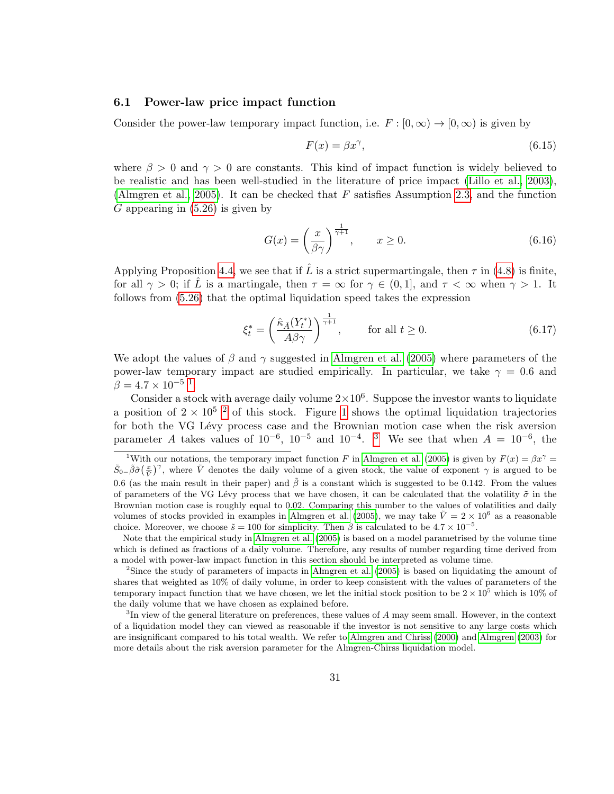#### 6.1 Power-law price impact function

Consider the power-law temporary impact function, i.e.  $F : [0, \infty) \to [0, \infty)$  is given by

$$
F(x) = \beta x^{\gamma},\tag{6.15}
$$

where  $\beta > 0$  and  $\gamma > 0$  are constants. This kind of impact function is widely believed to be realistic and has been well-studied in the literature of price impact [\(Lillo et al., 2003\)](#page-35-14), [\(Almgren et al., 2005\)](#page-34-11). It can be checked that  $F$  satisfies Assumption [2.3,](#page-4-0) and the function  $G$  appearing in  $(5.26)$  is given by

$$
G(x) = \left(\frac{x}{\beta \gamma}\right)^{\frac{1}{\gamma + 1}}, \qquad x \ge 0. \tag{6.16}
$$

Applying Proposition [4.4,](#page-20-1) we see that if  $\hat{L}$  is a strict supermartingale, then  $\tau$  in [\(4.8\)](#page-18-6) is finite, for all  $\gamma > 0$ ; if  $\hat{L}$  is a martingale, then  $\tau = \infty$  for  $\gamma \in (0, 1]$ , and  $\tau < \infty$  when  $\gamma > 1$ . It follows from [\(5.26\)](#page-26-2) that the optimal liquidation speed takes the expression

$$
\xi_t^* = \left(\frac{\hat{\kappa}_{\tilde{A}}(Y_t^*)}{A\beta\gamma}\right)^{\frac{1}{\gamma+1}}, \qquad \text{for all } t \ge 0.
$$
 (6.17)

We adopt the values of  $\beta$  and  $\gamma$  suggested in [Almgren et al. \(2005\)](#page-34-11) where parameters of the power-law temporary impact are studied empirically. In particular, we take  $\gamma = 0.6$  and  $\beta = 4.7 \times 10^{-5}$  $\beta = 4.7 \times 10^{-5}$  $\beta = 4.7 \times 10^{-5}$ <sup>1</sup>.

Consider a stock with average daily volume  $2 \times 10^6$ . Suppose the investor wants to liquidate a position of  $2 \times 10^{5}$  $2 \times 10^{5}$  $2 \times 10^{5}$  <sup>2</sup> of this stock. Figure 1 shows the optimal liquidation trajectories for both the VG Lévy process case and the Brownian motion case when the risk aversion parameter A takes values of  $10^{-6}$ ,  $10^{-5}$  and  $10^{-4}$ . <sup>[3](#page-30-2)</sup> We see that when  $A = 10^{-6}$ , the

<span id="page-30-0"></span><sup>&</sup>lt;sup>1</sup>With our notations, the temporary impact function F in [Almgren et al.](#page-34-11) [\(2005\)](#page-34-11) is given by  $F(x) = \beta x^{\gamma} =$  $\tilde{S}_{0-} \tilde{\beta} \tilde{\sigma} \left( \frac{x}{\tilde{V}} \right)^{\gamma}$ , where  $\tilde{V}$  denotes the daily volume of a given stock, the value of exponent  $\gamma$  is argued to be 0.6 (as the main result in their paper) and  $\hat{\beta}$  is a constant which is suggested to be 0.142. From the values of parameters of the VG Lévy process that we have chosen, it can be calculated that the volatility  $\tilde{\sigma}$  in the Brownian motion case is roughly equal to 0.02. Comparing this number to the values of volatilities and daily volumes of stocks provided in examples in [Almgren et al.](#page-34-11) [\(2005\)](#page-34-11), we may take  $\tilde{V} = 2 \times 10^6$  as a reasonable choice. Moreover, we choose  $\tilde{s} = 100$  for simplicity. Then  $\beta$  is calculated to be  $4.7 \times 10^{-5}$ .

Note that the empirical study in [Almgren et al.](#page-34-11) [\(2005\)](#page-34-11) is based on a model parametrised by the volume time which is defined as fractions of a daily volume. Therefore, any results of number regarding time derived from a model with power-law impact function in this section should be interpreted as volume time.

<span id="page-30-1"></span><sup>2</sup>Since the study of parameters of impacts in [Almgren et al.](#page-34-11) [\(2005\)](#page-34-11) is based on liquidating the amount of shares that weighted as 10% of daily volume, in order to keep consistent with the values of parameters of the temporary impact function that we have chosen, we let the initial stock position to be  $2 \times 10^5$  which is 10% of the daily volume that we have chosen as explained before.

<span id="page-30-2"></span><sup>&</sup>lt;sup>3</sup>In view of the general literature on preferences, these values of A may seem small. However, in the context of a liquidation model they can viewed as reasonable if the investor is not sensitive to any large costs which are insignificant compared to his total wealth. We refer to [Almgren and Chriss](#page-34-5) [\(2000\)](#page-34-5) and [Almgren](#page-34-6) [\(2003\)](#page-34-6) for more details about the risk aversion parameter for the Almgren-Chirss liquidation model.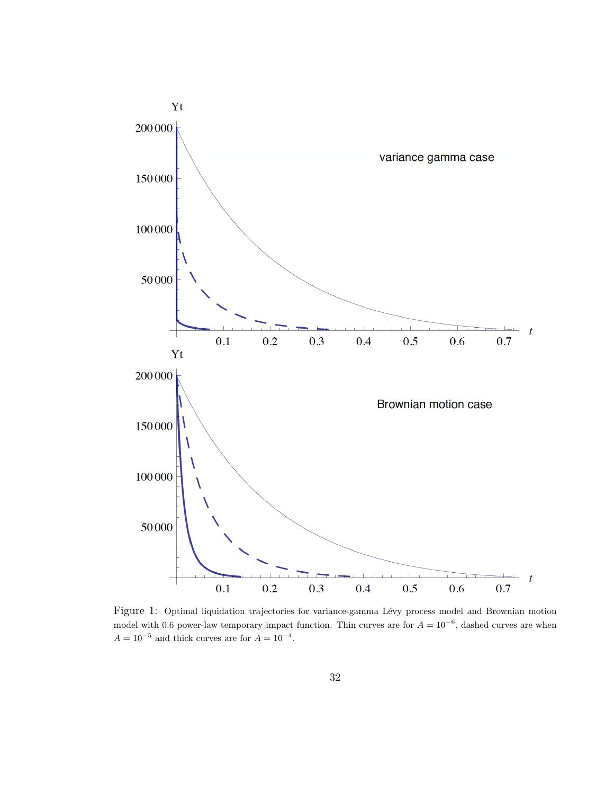<span id="page-31-0"></span>

Figure 1: Optimal liquidation trajectories for variance-gamma Lévy process model and Brownian motion model with 0.6 power-law temporary impact function. Thin curves are for  $A = 10^{-6}$ , dashed curves are when  $A = 10^{-5}$  and thick curves are for  $A = 10^{-4}$ .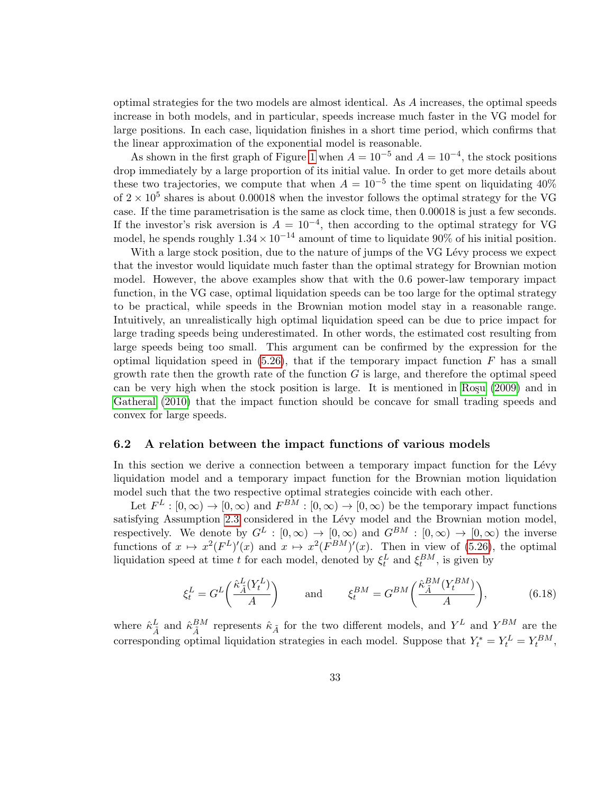optimal strategies for the two models are almost identical. As A increases, the optimal speeds increase in both models, and in particular, speeds increase much faster in the VG model for large positions. In each case, liquidation finishes in a short time period, which confirms that the linear approximation of the exponential model is reasonable.

As shown in the first graph of Figure [1](#page-31-0) when  $A = 10^{-5}$  and  $A = 10^{-4}$ , the stock positions drop immediately by a large proportion of its initial value. In order to get more details about these two trajectories, we compute that when  $A = 10^{-5}$  the time spent on liquidating 40% of  $2 \times 10^5$  shares is about 0.00018 when the investor follows the optimal strategy for the VG case. If the time parametrisation is the same as clock time, then 0.00018 is just a few seconds. If the investor's risk aversion is  $A = 10^{-4}$ , then according to the optimal strategy for VG model, he spends roughly  $1.34 \times 10^{-14}$  amount of time to liquidate 90% of his initial position.

With a large stock position, due to the nature of jumps of the VG Lévy process we expect that the investor would liquidate much faster than the optimal strategy for Brownian motion model. However, the above examples show that with the 0.6 power-law temporary impact function, in the VG case, optimal liquidation speeds can be too large for the optimal strategy to be practical, while speeds in the Brownian motion model stay in a reasonable range. Intuitively, an unrealistically high optimal liquidation speed can be due to price impact for large trading speeds being underestimated. In other words, the estimated cost resulting from large speeds being too small. This argument can be confirmed by the expression for the optimal liquidation speed in  $(5.26)$ , that if the temporary impact function F has a small growth rate then the growth rate of the function  $G$  is large, and therefore the optimal speed can be very high when the stock position is large. It is mentioned in Ro $\mathfrak{g}_0$  (2009) and in [Gatheral \(2010\)](#page-35-3) that the impact function should be concave for small trading speeds and convex for large speeds.

#### 6.2 A relation between the impact functions of various models

In this section we derive a connection between a temporary impact function for the Lévy liquidation model and a temporary impact function for the Brownian motion liquidation model such that the two respective optimal strategies coincide with each other.

Let  $F^L : [0, \infty) \to [0, \infty)$  and  $F^{BM} : [0, \infty) \to [0, \infty)$  be the temporary impact functions satisfying Assumption [2.3](#page-4-0) considered in the Lévy model and the Brownian motion model, respectively. We denote by  $G^L : [0, \infty) \to [0, \infty)$  and  $G^{BM} : [0, \infty) \to [0, \infty)$  the inverse functions of  $x \mapsto x^2(F^L)'(x)$  and  $x \mapsto x^2(F^{BM})'(x)$ . Then in view of [\(5.26\)](#page-26-2), the optimal liquidation speed at time t for each model, denoted by  $\xi_t^L$  and  $\xi_t^{BM}$ , is given by

$$
\xi_t^L = G^L\left(\frac{\hat{\kappa}_{\tilde{A}}^L(Y_t^L)}{A}\right) \quad \text{and} \quad \xi_t^{BM} = G^{BM}\left(\frac{\hat{\kappa}_{\tilde{A}}^{BM}(Y_t^{BM})}{A}\right), \tag{6.18}
$$

where  $\hat{\kappa}_{\tilde{A}}^L$  and  $\hat{\kappa}_{\tilde{A}}^{BM}$  represents  $\hat{\kappa}_{\tilde{A}}$  for the two different models, and  $Y^L$  and  $Y^{BM}$  are the corresponding optimal liquidation strategies in each model. Suppose that  $Y_t^* = Y_t^L = Y_t^{BM}$ ,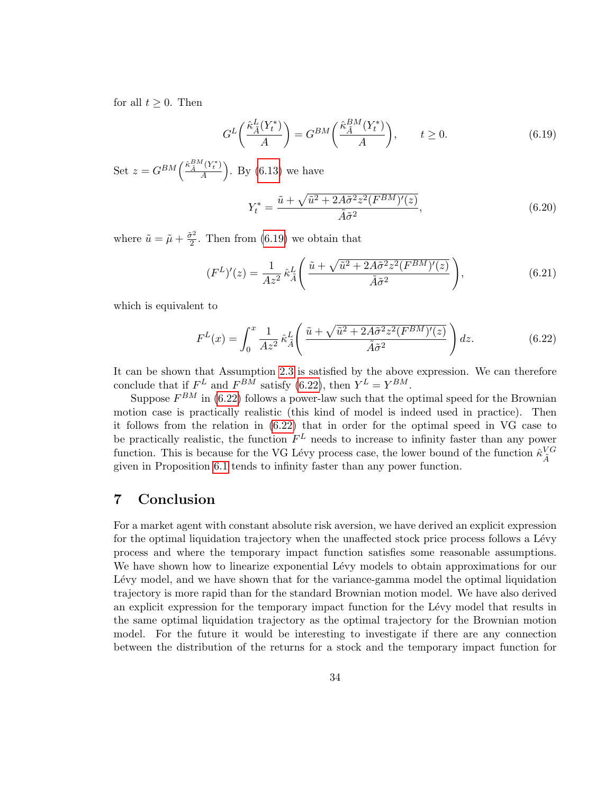for all  $t \geq 0$ . Then

$$
G^{L}\left(\frac{\hat{\kappa}_{\tilde{A}}^{L}(Y_{t}^{*})}{A}\right) = G^{BM}\left(\frac{\hat{\kappa}_{\tilde{A}}^{BM}(Y_{t}^{*})}{A}\right), \qquad t \ge 0.
$$
\n(6.19)

Set  $z = G^{BM} \left( \frac{\hat{\kappa}_{\tilde{A}}^{BM}(Y_t^*)}{4} \right)$  $\left(\frac{Y_t^*}{A}\right)$ . By [\(6.13\)](#page-29-1) we have

<span id="page-33-1"></span><span id="page-33-0"></span>
$$
Y_t^* = \frac{\tilde{u} + \sqrt{\tilde{u}^2 + 2A\tilde{\sigma}^2 z^2 (F^{BM})'(z)}}{\tilde{A}\tilde{\sigma}^2},\tag{6.20}
$$

where  $\tilde{u} = \tilde{\mu} + \frac{\tilde{\sigma}^2}{2}$  $\frac{r^2}{2}$ . Then from [\(6.19\)](#page-33-0) we obtain that

$$
(F^L)'(z) = \frac{1}{Az^2} \hat{\kappa}_{\tilde{A}}^L \left( \frac{\tilde{u} + \sqrt{\tilde{u}^2 + 2A\tilde{\sigma}^2 z^2 (F^{BM})'(z)}}{\tilde{A}\tilde{\sigma}^2} \right),\tag{6.21}
$$

which is equivalent to

$$
F^{L}(x) = \int_{0}^{x} \frac{1}{Az^{2}} \hat{\kappa}_{\tilde{A}}^{L} \left( \frac{\tilde{u} + \sqrt{\tilde{u}^{2} + 2A\tilde{\sigma}^{2}z^{2}(F^{BM})'(z)}}{\tilde{A}\tilde{\sigma}^{2}} \right) dz.
$$
 (6.22)

It can be shown that Assumption [2.3](#page-4-0) is satisfied by the above expression. We can therefore conclude that if  $F^L$  and  $F^{BM}$  satisfy [\(6.22\)](#page-33-1), then  $Y^L = Y^{BM}$ .

Suppose  $F^{BM}$  in [\(6.22\)](#page-33-1) follows a power-law such that the optimal speed for the Brownian motion case is practically realistic (this kind of model is indeed used in practice). Then it follows from the relation in [\(6.22\)](#page-33-1) that in order for the optimal speed in VG case to be practically realistic, the function  $F<sup>L</sup>$  needs to increase to infinity faster than any power function. This is because for the VG Lévy process case, the lower bound of the function  $\hat{\kappa}_{\tilde{A}}^{VG}$ given in Proposition [6.1](#page-28-2) tends to infinity faster than any power function.

### 7 Conclusion

For a market agent with constant absolute risk aversion, we have derived an explicit expression for the optimal liquidation trajectory when the unaffected stock price process follows a Lévy process and where the temporary impact function satisfies some reasonable assumptions. We have shown how to linearize exponential Lévy models to obtain approximations for our Lévy model, and we have shown that for the variance-gamma model the optimal liquidation trajectory is more rapid than for the standard Brownian motion model. We have also derived an explicit expression for the temporary impact function for the Lévy model that results in the same optimal liquidation trajectory as the optimal trajectory for the Brownian motion model. For the future it would be interesting to investigate if there are any connection between the distribution of the returns for a stock and the temporary impact function for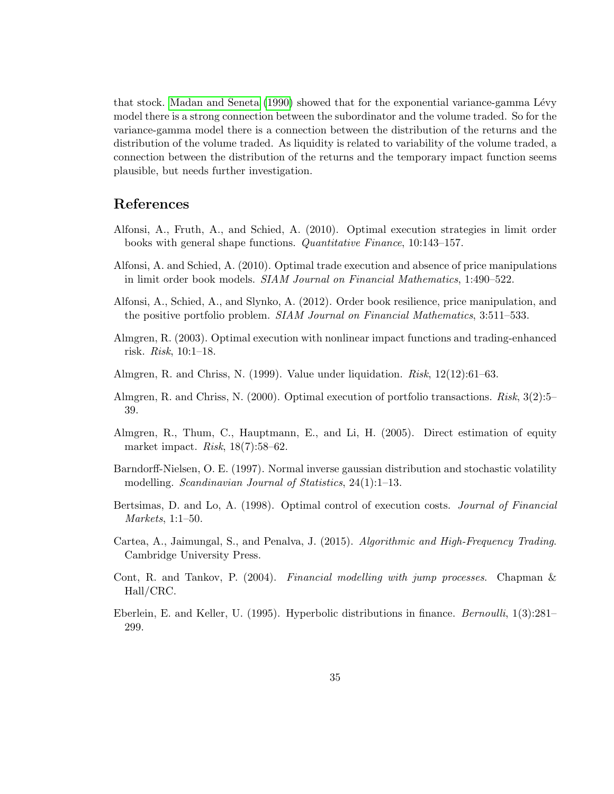that stock. [Madan and Seneta \(1990\)](#page-35-0) showed that for the exponential variance-gamma Lévy model there is a strong connection between the subordinator and the volume traded. So for the variance-gamma model there is a connection between the distribution of the returns and the distribution of the volume traded. As liquidity is related to variability of the volume traded, a connection between the distribution of the returns and the temporary impact function seems plausible, but needs further investigation.

### References

- <span id="page-34-8"></span>Alfonsi, A., Fruth, A., and Schied, A. (2010). Optimal execution strategies in limit order books with general shape functions. Quantitative Finance, 10:143–157.
- <span id="page-34-7"></span>Alfonsi, A. and Schied, A. (2010). Optimal trade execution and absence of price manipulations in limit order book models. SIAM Journal on Financial Mathematics, 1:490–522.
- <span id="page-34-9"></span>Alfonsi, A., Schied, A., and Slynko, A. (2012). Order book resilience, price manipulation, and the positive portfolio problem. SIAM Journal on Financial Mathematics, 3:511–533.
- <span id="page-34-6"></span>Almgren, R. (2003). Optimal execution with nonlinear impact functions and trading-enhanced risk. Risk, 10:1–18.
- <span id="page-34-4"></span>Almgren, R. and Chriss, N. (1999). Value under liquidation. Risk, 12(12):61–63.
- <span id="page-34-5"></span>Almgren, R. and Chriss, N. (2000). Optimal execution of portfolio transactions. Risk, 3(2):5– 39.
- <span id="page-34-11"></span>Almgren, R., Thum, C., Hauptmann, E., and Li, H. (2005). Direct estimation of equity market impact. Risk, 18(7):58–62.
- <span id="page-34-1"></span>Barndorff-Nielsen, O. E. (1997). Normal inverse gaussian distribution and stochastic volatility modelling. *Scandinavian Journal of Statistics*, 24(1):1–13.
- <span id="page-34-3"></span>Bertsimas, D. and Lo, A. (1998). Optimal control of execution costs. Journal of Financial Markets, 1:1–50.
- <span id="page-34-2"></span>Cartea, A., Jaimungal, S., and Penalva, J. (2015). Algorithmic and High-Frequency Trading. Cambridge University Press.
- <span id="page-34-10"></span>Cont, R. and Tankov, P. (2004). Financial modelling with jump processes. Chapman & Hall/CRC.
- <span id="page-34-0"></span>Eberlein, E. and Keller, U. (1995). Hyperbolic distributions in finance. Bernoulli, 1(3):281– 299.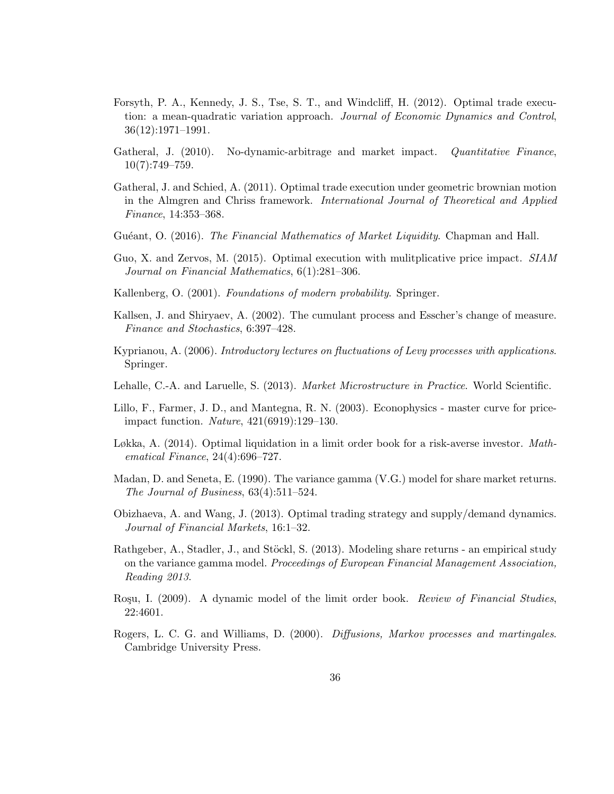- <span id="page-35-7"></span>Forsyth, P. A., Kennedy, J. S., Tse, S. T., and Windcliff, H. (2012). Optimal trade execution: a mean-quadratic variation approach. Journal of Economic Dynamics and Control, 36(12):1971–1991.
- <span id="page-35-3"></span>Gatheral, J. (2010). No-dynamic-arbitrage and market impact. *Quantitative Finance*,  $10(7):749-759.$
- <span id="page-35-6"></span>Gatheral, J. and Schied, A. (2011). Optimal trade execution under geometric brownian motion in the Almgren and Chriss framework. International Journal of Theoretical and Applied Finance, 14:353–368.
- <span id="page-35-2"></span>Guéant, O. (2016). The Financial Mathematics of Market Liquidity. Chapman and Hall.
- <span id="page-35-8"></span>Guo, X. and Zervos, M. (2015). Optimal execution with mulitplicative price impact. SIAM Journal on Financial Mathematics, 6(1):281–306.
- <span id="page-35-12"></span>Kallenberg, O. (2001). Foundations of modern probability. Springer.
- <span id="page-35-11"></span>Kallsen, J. and Shiryaev, A. (2002). The cumulant process and Esscher's change of measure. Finance and Stochastics, 6:397–428.
- <span id="page-35-9"></span>Kyprianou, A. (2006). Introductory lectures on fluctuations of Levy processes with applications. Springer.
- <span id="page-35-1"></span>Lehalle, C.-A. and Laruelle, S. (2013). Market Microstructure in Practice. World Scientific.
- <span id="page-35-14"></span>Lillo, F., Farmer, J. D., and Mantegna, R. N. (2003). Econophysics - master curve for priceimpact function. Nature, 421(6919):129–130.
- <span id="page-35-5"></span>Løkka, A. (2014). Optimal liquidation in a limit order book for a risk-averse investor. Mathematical Finance, 24(4):696–727.
- <span id="page-35-0"></span>Madan, D. and Seneta, E. (1990). The variance gamma (V.G.) model for share market returns. The Journal of Business, 63(4):511–524.
- <span id="page-35-4"></span>Obizhaeva, A. and Wang, J. (2013). Optimal trading strategy and supply/demand dynamics. Journal of Financial Markets, 16:1–32.
- <span id="page-35-13"></span>Rathgeber, A., Stadler, J., and Stöckl, S. (2013). Modeling share returns - an empirical study on the variance gamma model. *Proceedings of European Financial Management Association*, Reading 2013.
- <span id="page-35-15"></span>Roşu, I. (2009). A dynamic model of the limit order book. Review of Financial Studies, 22:4601.
- <span id="page-35-10"></span>Rogers, L. C. G. and Williams, D. (2000). Diffusions, Markov processes and martingales. Cambridge University Press.